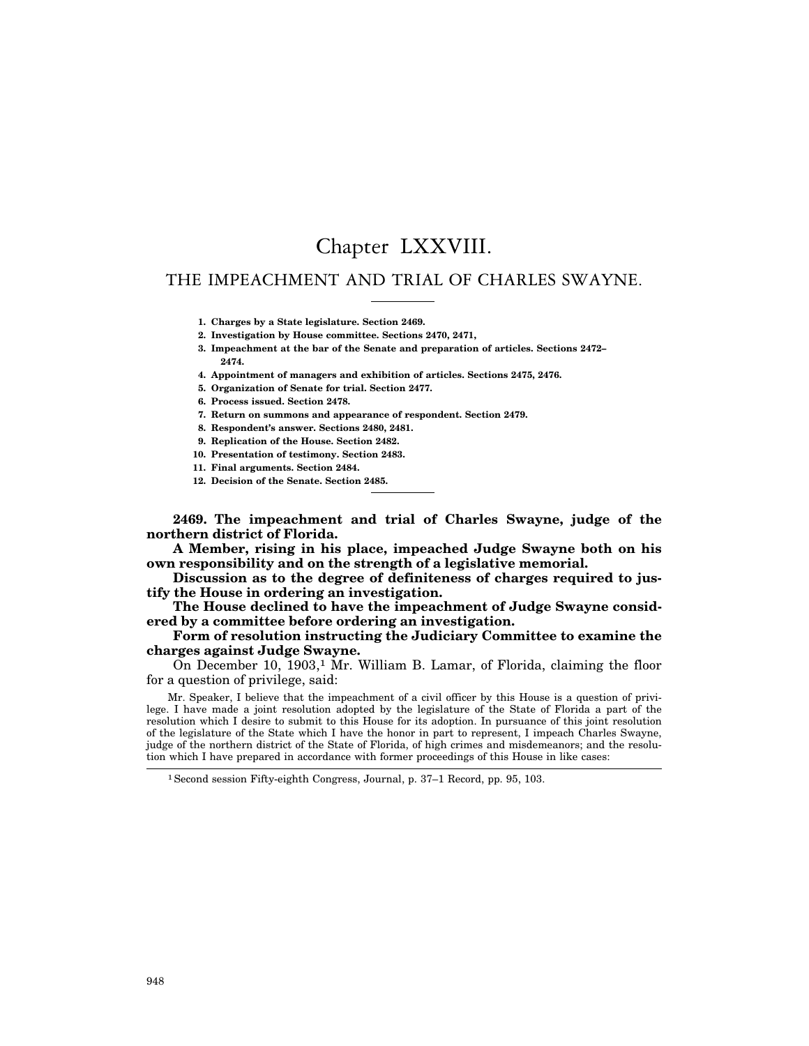# Chapter LXXVIII.

## THE IMPEACHMENT AND TRIAL OF CHARLES SWAYNE.

**1. Charges by a State legislature. Section 2469.**

**2. Investigation by House committee. Sections 2470, 2471,**

**3. Impeachment at the bar of the Senate and preparation of articles. Sections 2472– 2474.**

**4. Appointment of managers and exhibition of articles. Sections 2475, 2476.**

**5. Organization of Senate for trial. Section 2477.**

**6. Process issued. Section 2478.**

**7. Return on summons and appearance of respondent. Section 2479.**

**8. Respondent's answer. Sections 2480, 2481.**

**9. Replication of the House. Section 2482.**

**10. Presentation of testimony. Section 2483.**

**11. Final arguments. Section 2484.**

**12. Decision of the Senate. Section 2485.**

**2469. The impeachment and trial of Charles Swayne, judge of the northern district of Florida.**

**A Member, rising in his place, impeached Judge Swayne both on his own responsibility and on the strength of a legislative memorial.**

**Discussion as to the degree of definiteness of charges required to justify the House in ordering an investigation.**

**The House declined to have the impeachment of Judge Swayne considered by a committee before ordering an investigation.**

## **Form of resolution instructing the Judiciary Committee to examine the charges against Judge Swayne.**

On December 10, 1903,<sup>1</sup> Mr. William B. Lamar, of Florida, claiming the floor for a question of privilege, said:

Mr. Speaker, I believe that the impeachment of a civil officer by this House is a question of privilege. I have made a joint resolution adopted by the legislature of the State of Florida a part of the resolution which I desire to submit to this House for its adoption. In pursuance of this joint resolution of the legislature of the State which I have the honor in part to represent, I impeach Charles Swayne, judge of the northern district of the State of Florida, of high crimes and misdemeanors; and the resolution which I have prepared in accordance with former proceedings of this House in like cases:

<sup>1</sup>Second session Fifty-eighth Congress, Journal, p. 37–1 Record, pp. 95, 103.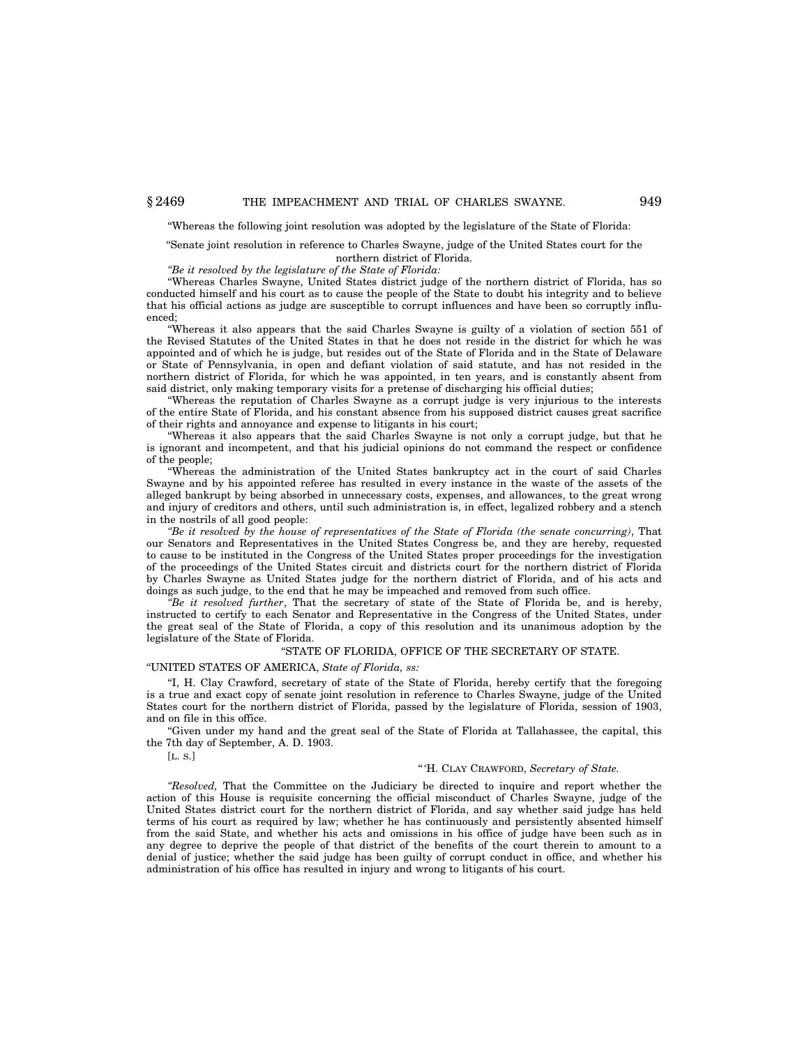''Whereas the following joint resolution was adopted by the legislature of the State of Florida:

## ''Senate joint resolution in reference to Charles Swayne, judge of the United States court for the northern district of Florida.

*''Be it resolved by the legislature of the State of Florida:*

''Whereas Charles Swayne, United States district judge of the northern district of Florida, has so conducted himself and his court as to cause the people of the State to doubt his integrity and to believe that his official actions as judge are susceptible to corrupt influences and have been so corruptly influenced;

''Whereas it also appears that the said Charles Swayne is guilty of a violation of section 551 of the Revised Statutes of the United States in that he does not reside in the district for which he was appointed and of which he is judge, but resides out of the State of Florida and in the State of Delaware or State of Pennsylvania, in open and defiant violation of said statute, and has not resided in the northern district of Florida, for which he was appointed, in ten years, and is constantly absent from said district, only making temporary visits for a pretense of discharging his official duties;

''Whereas the reputation of Charles Swayne as a corrupt judge is very injurious to the interests of the entire State of Florida, and his constant absence from his supposed district causes great sacrifice of their rights and annoyance and expense to litigants in his court;

''Whereas it also appears that the said Charles Swayne is not only a corrupt judge, but that he is ignorant and incompetent, and that his judicial opinions do not command the respect or confidence of the people;

''Whereas the administration of the United States bankruptcy act in the court of said Charles Swayne and by his appointed referee has resulted in every instance in the waste of the assets of the alleged bankrupt by being absorbed in unnecessary costs, expenses, and allowances, to the great wrong and injury of creditors and others, until such administration is, in effect, legalized robbery and a stench in the nostrils of all good people:

*''Be it resolved by the house of representatives of the State of Florida (the senate concurring)*, That our Senators and Representatives in the United States Congress be, and they are hereby, requested to cause to be instituted in the Congress of the United States proper proceedings for the investigation of the proceedings of the United States circuit and districts court for the northern district of Florida by Charles Swayne as United States judge for the northern district of Florida, and of his acts and doings as such judge, to the end that he may be impeached and removed from such office.

*''Be it resolved further*, That the secretary of state of the State of Florida be, and is hereby, instructed to certify to each Senator and Representative in the Congress of the United States, under the great seal of the State of Florida, a copy of this resolution and its unanimous adoption by the legislature of the State of Florida.

#### ''STATE OF FLORIDA, OFFICE OF THE SECRETARY OF STATE.

''UNITED STATES OF AMERICA, *State of Florida, ss:*

''I, H. Clay Crawford, secretary of state of the State of Florida, hereby certify that the foregoing is a true and exact copy of senate joint resolution in reference to Charles Swayne, judge of the United States court for the northern district of Florida, passed by the legislature of Florida, session of 1903, and on file in this office.

Given under my hand and the great seal of the State of Florida at Tallahassee, the capital, this the 7th day of September, A. D. 1903.

[L. S.]

## '' 'H. CLAY CRAWFORD, *Secretary of State.*

*''Resolved,* That the Committee on the Judiciary be directed to inquire and report whether the action of this House is requisite concerning the official misconduct of Charles Swayne, judge of the United States district court for the northern district of Florida, and say whether said judge has held terms of his court as required by law; whether he has continuously and persistently absented himself from the said State, and whether his acts and omissions in his office of judge have been such as in any degree to deprive the people of that district of the benefits of the court therein to amount to a denial of justice; whether the said judge has been guilty of corrupt conduct in office, and whether his administration of his office has resulted in injury and wrong to litigants of his court.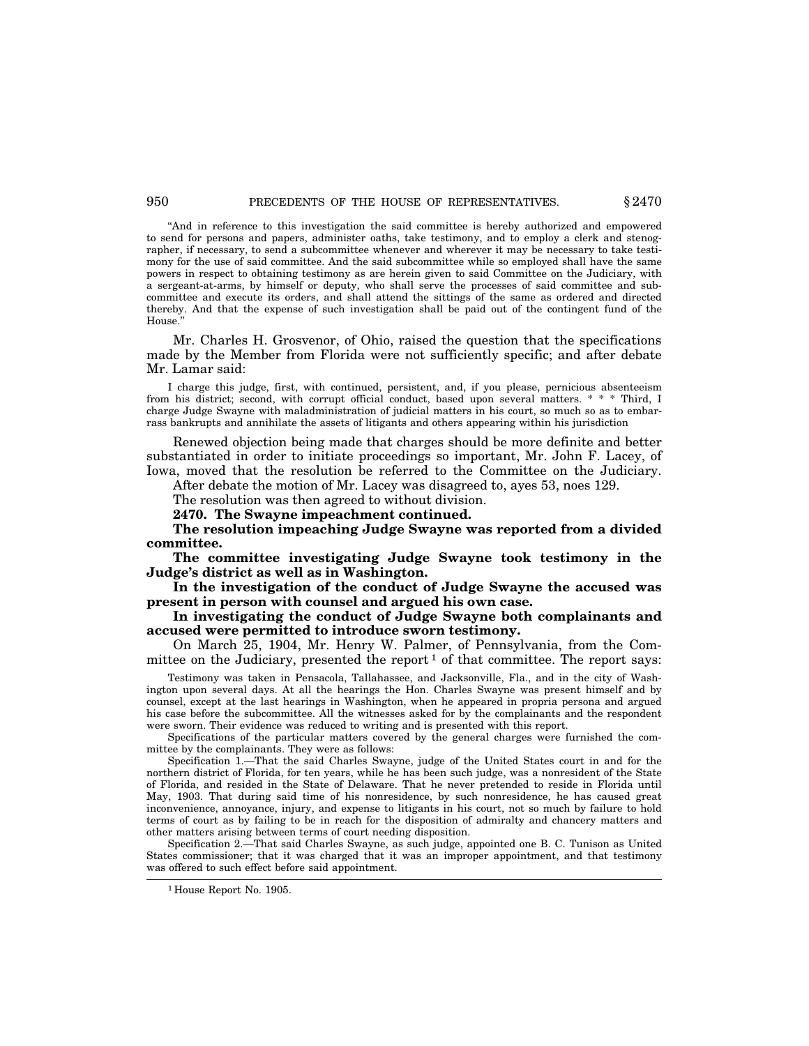## 950 **PRECEDENTS OF THE HOUSE OF REPRESENTATIVES.**  $§ 2470$

''And in reference to this investigation the said committee is hereby authorized and empowered to send for persons and papers, administer oaths, take testimony, and to employ a clerk and stenographer, if necessary, to send a subcommittee whenever and wherever it may be necessary to take testimony for the use of said committee. And the said subcommittee while so employed shall have the same powers in respect to obtaining testimony as are herein given to said Committee on the Judiciary, with a sergeant-at-arms, by himself or deputy, who shall serve the processes of said committee and subcommittee and execute its orders, and shall attend the sittings of the same as ordered and directed thereby. And that the expense of such investigation shall be paid out of the contingent fund of the House.''

Mr. Charles H. Grosvenor, of Ohio, raised the question that the specifications made by the Member from Florida were not sufficiently specific; and after debate Mr. Lamar said:

I charge this judge, first, with continued, persistent, and, if you please, pernicious absenteeism from his district; second, with corrupt official conduct, based upon several matters. \* \* \* Third, I charge Judge Swayne with maladministration of judicial matters in his court, so much so as to embarrass bankrupts and annihilate the assets of litigants and others appearing within his jurisdiction

Renewed objection being made that charges should be more definite and better substantiated in order to initiate proceedings so important, Mr. John F. Lacey, of Iowa, moved that the resolution be referred to the Committee on the Judiciary.

After debate the motion of Mr. Lacey was disagreed to, ayes 53, noes 129.

The resolution was then agreed to without division.

**2470. The Swayne impeachment continued.**

**The resolution impeaching Judge Swayne was reported from a divided committee.**

**The committee investigating Judge Swayne took testimony in the Judge's district as well as in Washington.**

**In the investigation of the conduct of Judge Swayne the accused was present in person with counsel and argued his own case.**

## **In investigating the conduct of Judge Swayne both complainants and accused were permitted to introduce sworn testimony.**

On March 25, 1904, Mr. Henry W. Palmer, of Pennsylvania, from the Committee on the Judiciary, presented the report  $1$  of that committee. The report says:

Testimony was taken in Pensacola, Tallahassee, and Jacksonville, Fla., and in the city of Washington upon several days. At all the hearings the Hon. Charles Swayne was present himself and by counsel, except at the last hearings in Washington, when he appeared in propria persona and argued his case before the subcommittee. All the witnesses asked for by the complainants and the respondent were sworn. Their evidence was reduced to writing and is presented with this report.

Specifications of the particular matters covered by the general charges were furnished the committee by the complainants. They were as follows:

Specification 1.—That the said Charles Swayne, judge of the United States court in and for the northern district of Florida, for ten years, while he has been such judge, was a nonresident of the State of Florida, and resided in the State of Delaware. That he never pretended to reside in Florida until May, 1903. That during said time of his nonresidence, by such nonresidence, he has caused great inconvenience, annoyance, injury, and expense to litigants in his court, not so much by failure to hold terms of court as by failing to be in reach for the disposition of admiralty and chancery matters and other matters arising between terms of court needing disposition.

Specification 2.—That said Charles Swayne, as such judge, appointed one B. C. Tunison as United States commissioner; that it was charged that it was an improper appointment, and that testimony was offered to such effect before said appointment.

<sup>1</sup> House Report No. 1905.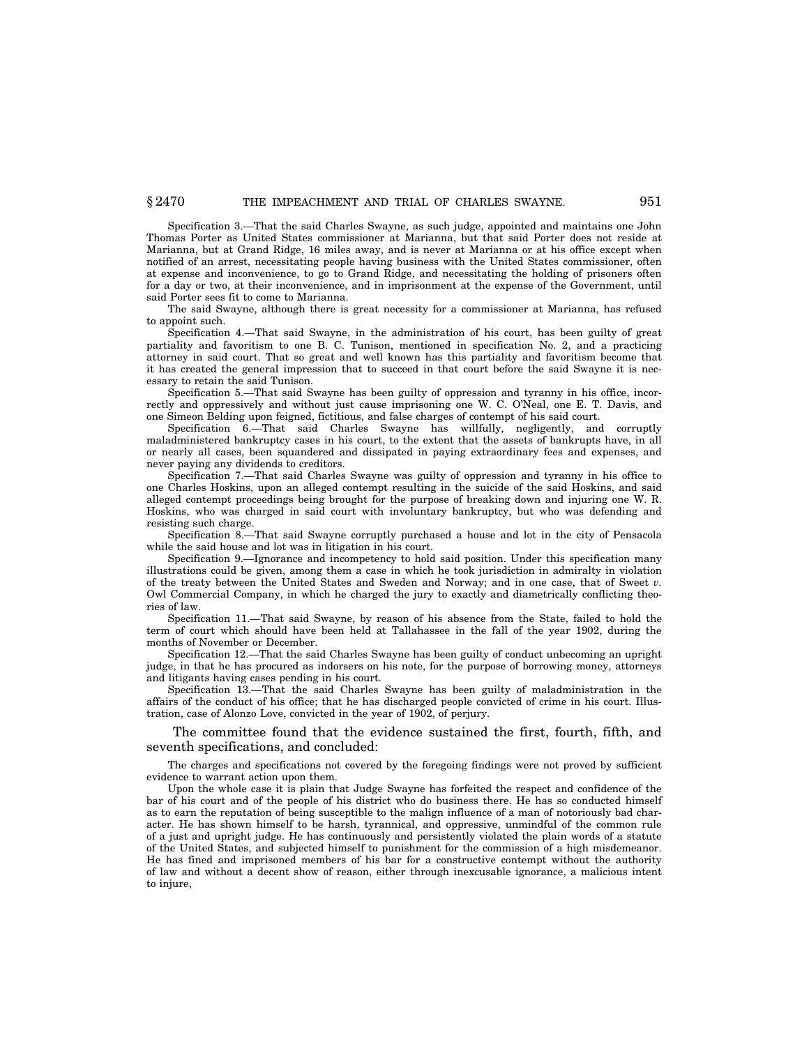Specification 3.—That the said Charles Swayne, as such judge, appointed and maintains one John Thomas Porter as United States commissioner at Marianna, but that said Porter does not reside at Marianna, but at Grand Ridge, 16 miles away, and is never at Marianna or at his office except when notified of an arrest, necessitating people having business with the United States commissioner, often at expense and inconvenience, to go to Grand Ridge, and necessitating the holding of prisoners often for a day or two, at their inconvenience, and in imprisonment at the expense of the Government, until said Porter sees fit to come to Marianna.

The said Swayne, although there is great necessity for a commissioner at Marianna, has refused to appoint such.

Specification 4.—That said Swayne, in the administration of his court, has been guilty of great partiality and favoritism to one B. C. Tunison, mentioned in specification No. 2, and a practicing attorney in said court. That so great and well known has this partiality and favoritism become that it has created the general impression that to succeed in that court before the said Swayne it is necessary to retain the said Tunison.

Specification 5.—That said Swayne has been guilty of oppression and tyranny in his office, incorrectly and oppressively and without just cause imprisoning one W. C. O'Neal, one E. T. Davis, and one Simeon Belding upon feigned, fictitious, and false charges of contempt of his said court.

Specification 6.—That said Charles Swayne has willfully, negligently, and corruptly maladministered bankruptcy cases in his court, to the extent that the assets of bankrupts have, in all or nearly all cases, been squandered and dissipated in paying extraordinary fees and expenses, and never paying any dividends to creditors.

Specification 7.—That said Charles Swayne was guilty of oppression and tyranny in his office to one Charles Hoskins, upon an alleged contempt resulting in the suicide of the said Hoskins, and said alleged contempt proceedings being brought for the purpose of breaking down and injuring one W. R. Hoskins, who was charged in said court with involuntary bankruptcy, but who was defending and resisting such charge.

Specification 8.—That said Swayne corruptly purchased a house and lot in the city of Pensacola while the said house and lot was in litigation in his court.

Specification 9.—Ignorance and incompetency to hold said position. Under this specification many illustrations could be given, among them a case in which he took jurisdiction in admiralty in violation of the treaty between the United States and Sweden and Norway; and in one case, that of Sweet *v.* Owl Commercial Company, in which he charged the jury to exactly and diametrically conflicting theories of law.

Specification 11.—That said Swayne, by reason of his absence from the State, failed to hold the term of court which should have been held at Tallahassee in the fall of the year 1902, during the months of November or December.

Specification 12.—That the said Charles Swayne has been guilty of conduct unbecoming an upright judge, in that he has procured as indorsers on his note, for the purpose of borrowing money, attorneys and litigants having cases pending in his court.

Specification 13.—That the said Charles Swayne has been guilty of maladministration in the affairs of the conduct of his office; that he has discharged people convicted of crime in his court. Illustration, case of Alonzo Love, convicted in the year of 1902, of perjury.

The committee found that the evidence sustained the first, fourth, fifth, and seventh specifications, and concluded:

The charges and specifications not covered by the foregoing findings were not proved by sufficient evidence to warrant action upon them.

Upon the whole case it is plain that Judge Swayne has forfeited the respect and confidence of the bar of his court and of the people of his district who do business there. He has so conducted himself as to earn the reputation of being susceptible to the malign influence of a man of notoriously bad character. He has shown himself to be harsh, tyrannical, and oppressive, unmindful of the common rule of a just and upright judge. He has continuously and persistently violated the plain words of a statute of the United States, and subjected himself to punishment for the commission of a high misdemeanor. He has fined and imprisoned members of his bar for a constructive contempt without the authority of law and without a decent show of reason, either through inexcusable ignorance, a malicious intent to injure.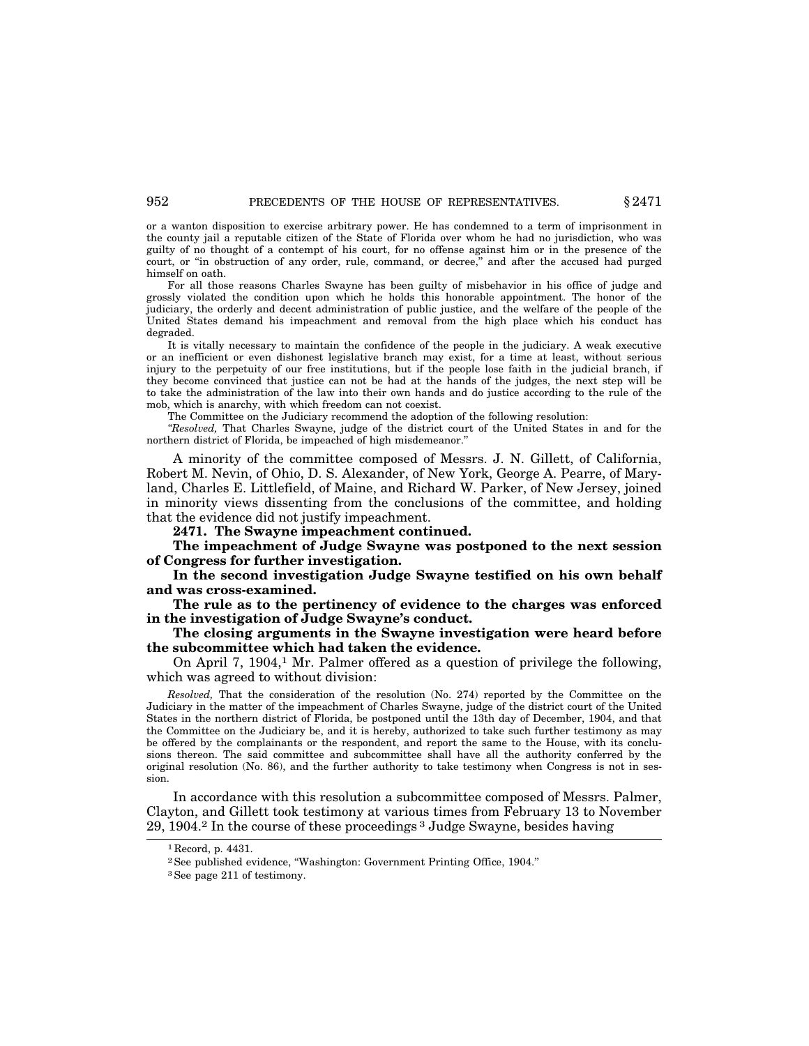or a wanton disposition to exercise arbitrary power. He has condemned to a term of imprisonment in the county jail a reputable citizen of the State of Florida over whom he had no jurisdiction, who was guilty of no thought of a contempt of his court, for no offense against him or in the presence of the court, or ''in obstruction of any order, rule, command, or decree,'' and after the accused had purged himself on oath.

For all those reasons Charles Swayne has been guilty of misbehavior in his office of judge and grossly violated the condition upon which he holds this honorable appointment. The honor of the judiciary, the orderly and decent administration of public justice, and the welfare of the people of the United States demand his impeachment and removal from the high place which his conduct has degraded.

It is vitally necessary to maintain the confidence of the people in the judiciary. A weak executive or an inefficient or even dishonest legislative branch may exist, for a time at least, without serious injury to the perpetuity of our free institutions, but if the people lose faith in the judicial branch, if they become convinced that justice can not be had at the hands of the judges, the next step will be to take the administration of the law into their own hands and do justice according to the rule of the mob, which is anarchy, with which freedom can not coexist.

The Committee on the Judiciary recommend the adoption of the following resolution:

*''Resolved,* That Charles Swayne, judge of the district court of the United States in and for the northern district of Florida, be impeached of high misdemeanor.''

A minority of the committee composed of Messrs. J. N. Gillett, of California, Robert M. Nevin, of Ohio, D. S. Alexander, of New York, George A. Pearre, of Maryland, Charles E. Littlefield, of Maine, and Richard W. Parker, of New Jersey, joined in minority views dissenting from the conclusions of the committee, and holding that the evidence did not justify impeachment.

**2471. The Swayne impeachment continued.**

**The impeachment of Judge Swayne was postponed to the next session of Congress for further investigation.**

**In the second investigation Judge Swayne testified on his own behalf and was cross-examined.**

**The rule as to the pertinency of evidence to the charges was enforced in the investigation of Judge Swayne's conduct.**

## **The closing arguments in the Swayne investigation were heard before the subcommittee which had taken the evidence.**

On April 7,  $1904<sup>1</sup>$  Mr. Palmer offered as a question of privilege the following, which was agreed to without division:

*Resolved,* That the consideration of the resolution (No. 274) reported by the Committee on the Judiciary in the matter of the impeachment of Charles Swayne, judge of the district court of the United States in the northern district of Florida, be postponed until the 13th day of December, 1904, and that the Committee on the Judiciary be, and it is hereby, authorized to take such further testimony as may be offered by the complainants or the respondent, and report the same to the House, with its conclusions thereon. The said committee and subcommittee shall have all the authority conferred by the original resolution (No. 86), and the further authority to take testimony when Congress is not in session.

In accordance with this resolution a subcommittee composed of Messrs. Palmer, Clayton, and Gillett took testimony at various times from February 13 to November 29, 1904.2 In the course of these proceedings 3 Judge Swayne, besides having

<sup>1</sup> Record, p. 4431.

<sup>2</sup>See published evidence, ''Washington: Government Printing Office, 1904.''

<sup>3</sup>See page 211 of testimony.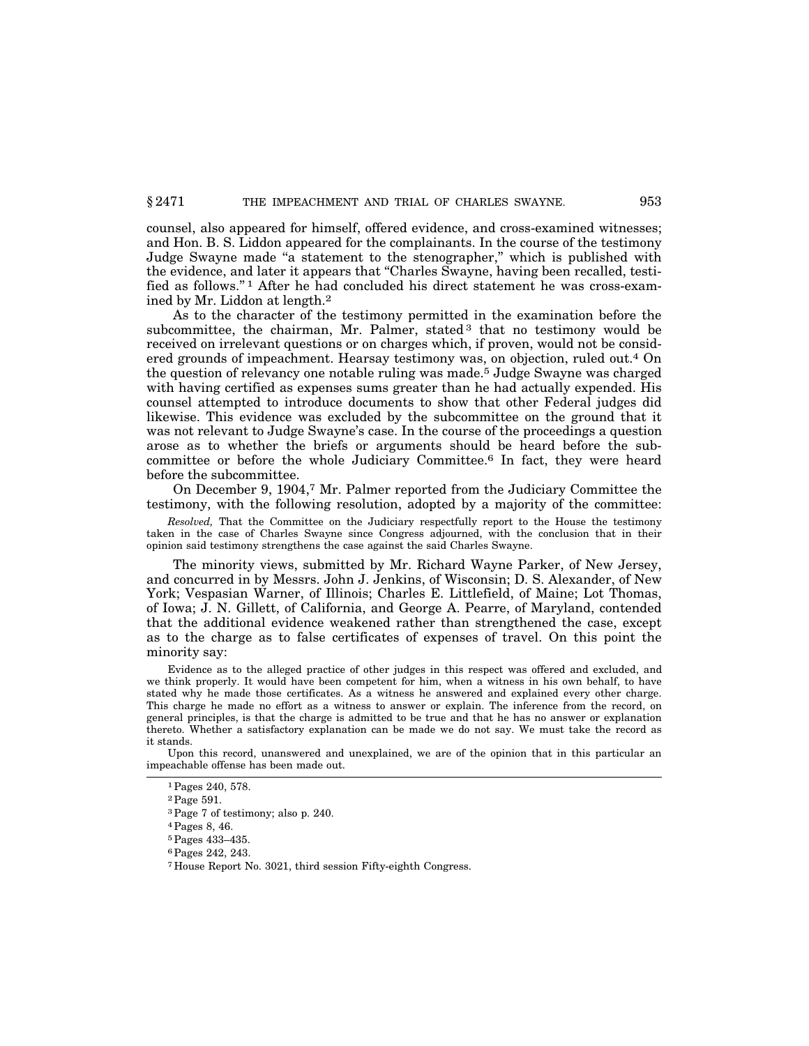counsel, also appeared for himself, offered evidence, and cross-examined witnesses; and Hon. B. S. Liddon appeared for the complainants. In the course of the testimony Judge Swayne made "a statement to the stenographer," which is published with the evidence, and later it appears that ''Charles Swayne, having been recalled, testified as follows.'' 1 After he had concluded his direct statement he was cross-examined by Mr. Liddon at length.2

As to the character of the testimony permitted in the examination before the subcommittee, the chairman, Mr. Palmer, stated  $3$  that no testimony would be received on irrelevant questions or on charges which, if proven, would not be considered grounds of impeachment. Hearsay testimony was, on objection, ruled out.4 On the question of relevancy one notable ruling was made.5 Judge Swayne was charged with having certified as expenses sums greater than he had actually expended. His counsel attempted to introduce documents to show that other Federal judges did likewise. This evidence was excluded by the subcommittee on the ground that it was not relevant to Judge Swayne's case. In the course of the proceedings a question arose as to whether the briefs or arguments should be heard before the subcommittee or before the whole Judiciary Committee.6 In fact, they were heard before the subcommittee.

On December 9, 1904,7 Mr. Palmer reported from the Judiciary Committee the testimony, with the following resolution, adopted by a majority of the committee:

*Resolved,* That the Committee on the Judiciary respectfully report to the House the testimony taken in the case of Charles Swayne since Congress adjourned, with the conclusion that in their opinion said testimony strengthens the case against the said Charles Swayne.

The minority views, submitted by Mr. Richard Wayne Parker, of New Jersey, and concurred in by Messrs. John J. Jenkins, of Wisconsin; D. S. Alexander, of New York; Vespasian Warner, of Illinois; Charles E. Littlefield, of Maine; Lot Thomas, of Iowa; J. N. Gillett, of California, and George A. Pearre, of Maryland, contended that the additional evidence weakened rather than strengthened the case, except as to the charge as to false certificates of expenses of travel. On this point the minority say:

Evidence as to the alleged practice of other judges in this respect was offered and excluded, and we think properly. It would have been competent for him, when a witness in his own behalf, to have stated why he made those certificates. As a witness he answered and explained every other charge. This charge he made no effort as a witness to answer or explain. The inference from the record, on general principles, is that the charge is admitted to be true and that he has no answer or explanation thereto. Whether a satisfactory explanation can be made we do not say. We must take the record as it stands.

Upon this record, unanswered and unexplained, we are of the opinion that in this particular an impeachable offense has been made out.

<sup>1</sup>Pages 240, 578.

<sup>2</sup>Page 591.

<sup>3</sup>Page 7 of testimony; also p. 240.

<sup>4</sup>Pages 8, 46.

<sup>5</sup>Pages 433–435.

<sup>6</sup>Pages 242, 243.

<sup>7</sup> House Report No. 3021, third session Fifty-eighth Congress.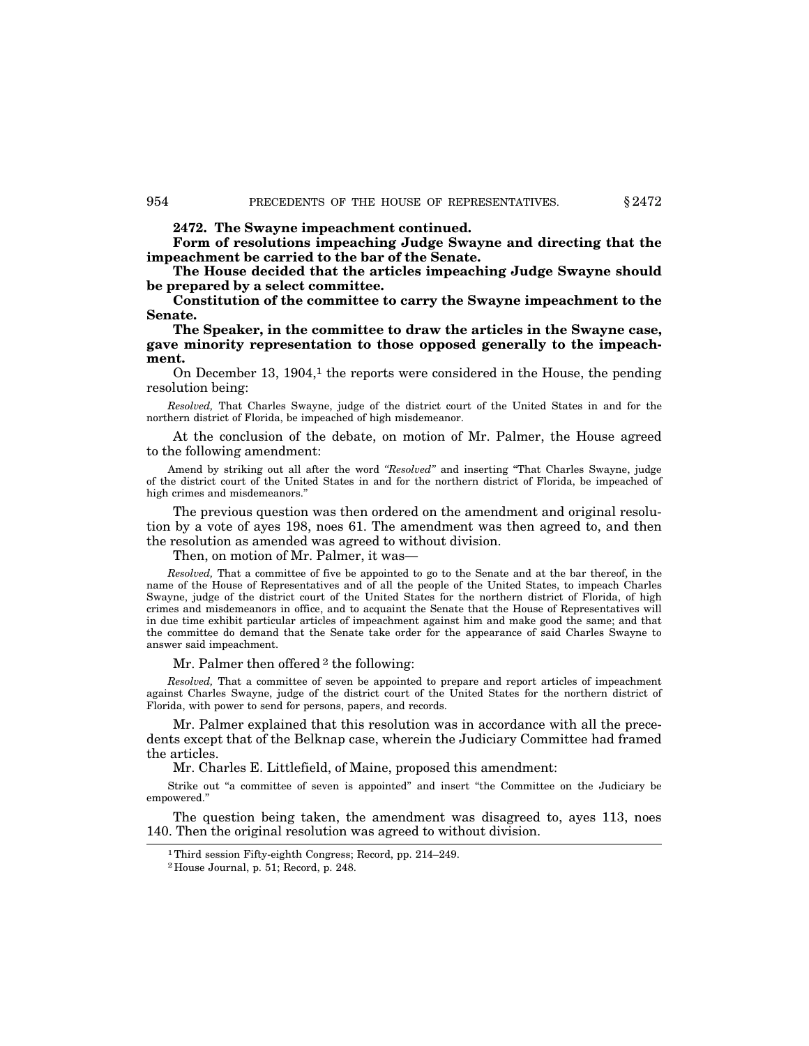**2472. The Swayne impeachment continued.**

**Form of resolutions impeaching Judge Swayne and directing that the impeachment be carried to the bar of the Senate.**

**The House decided that the articles impeaching Judge Swayne should be prepared by a select committee.**

**Constitution of the committee to carry the Swayne impeachment to the Senate.**

**The Speaker, in the committee to draw the articles in the Swayne case, gave minority representation to those opposed generally to the impeachment.**

On December 13,  $1904<sup>1</sup>$ , the reports were considered in the House, the pending resolution being:

*Resolved,* That Charles Swayne, judge of the district court of the United States in and for the northern district of Florida, be impeached of high misdemeanor.

At the conclusion of the debate, on motion of Mr. Palmer, the House agreed to the following amendment:

Amend by striking out all after the word *''Resolved''* and inserting ''That Charles Swayne, judge of the district court of the United States in and for the northern district of Florida, be impeached of high crimes and misdemeanors.''

The previous question was then ordered on the amendment and original resolution by a vote of ayes 198, noes 61. The amendment was then agreed to, and then the resolution as amended was agreed to without division.

Then, on motion of Mr. Palmer, it was-

*Resolved,* That a committee of five be appointed to go to the Senate and at the bar thereof, in the name of the House of Representatives and of all the people of the United States, to impeach Charles Swayne, judge of the district court of the United States for the northern district of Florida, of high crimes and misdemeanors in office, and to acquaint the Senate that the House of Representatives will in due time exhibit particular articles of impeachment against him and make good the same; and that the committee do demand that the Senate take order for the appearance of said Charles Swayne to answer said impeachment.

Mr. Palmer then offered <sup>2</sup> the following:

*Resolved,* That a committee of seven be appointed to prepare and report articles of impeachment against Charles Swayne, judge of the district court of the United States for the northern district of Florida, with power to send for persons, papers, and records.

Mr. Palmer explained that this resolution was in accordance with all the precedents except that of the Belknap case, wherein the Judiciary Committee had framed the articles.

Mr. Charles E. Littlefield, of Maine, proposed this amendment:

Strike out "a committee of seven is appointed" and insert "the Committee on the Judiciary be empowered.''

The question being taken, the amendment was disagreed to, ayes 113, noes 140. Then the original resolution was agreed to without division.

<sup>1</sup>Third session Fifty-eighth Congress; Record, pp. 214–249.

<sup>2</sup> House Journal, p. 51; Record, p. 248.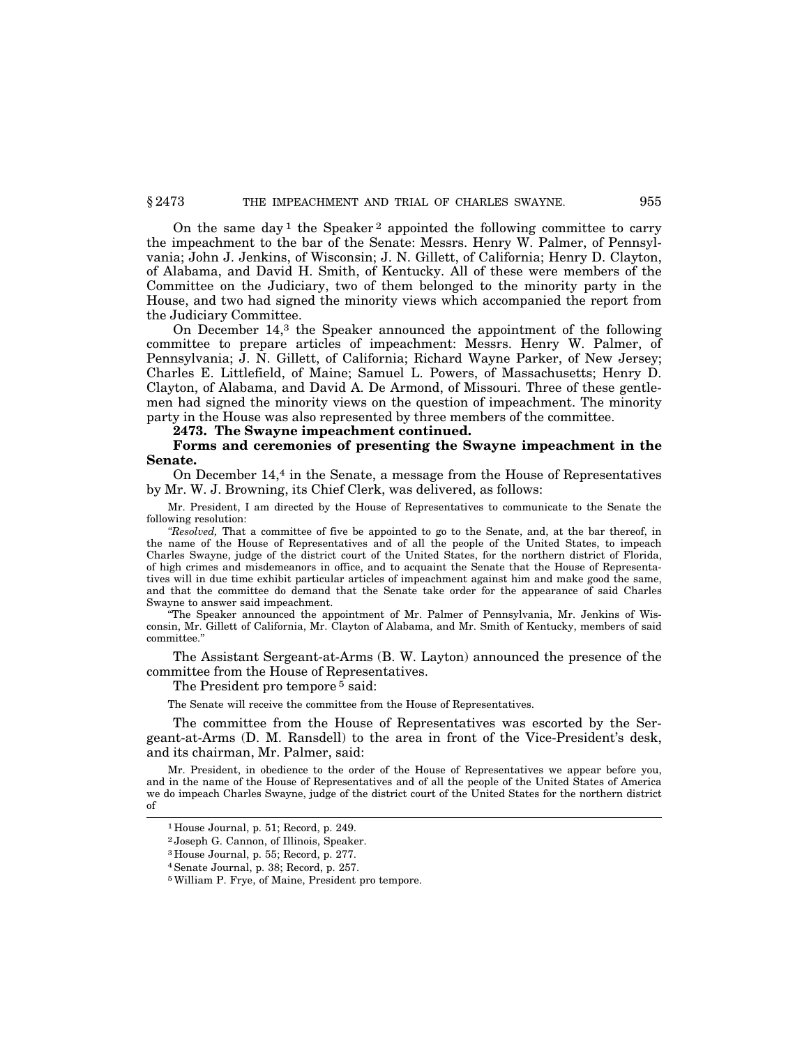On the same day<sup>1</sup> the Speaker<sup>2</sup> appointed the following committee to carry the impeachment to the bar of the Senate: Messrs. Henry W. Palmer, of Pennsylvania; John J. Jenkins, of Wisconsin; J. N. Gillett, of California; Henry D. Clayton, of Alabama, and David H. Smith, of Kentucky. All of these were members of the Committee on the Judiciary, two of them belonged to the minority party in the House, and two had signed the minority views which accompanied the report from the Judiciary Committee.

On December 14,3 the Speaker announced the appointment of the following committee to prepare articles of impeachment: Messrs. Henry W. Palmer, of Pennsylvania; J. N. Gillett, of California; Richard Wayne Parker, of New Jersey; Charles E. Littlefield, of Maine; Samuel L. Powers, of Massachusetts; Henry D. Clayton, of Alabama, and David A. De Armond, of Missouri. Three of these gentlemen had signed the minority views on the question of impeachment. The minority party in the House was also represented by three members of the committee.

**2473. The Swayne impeachment continued.**

## **Forms and ceremonies of presenting the Swayne impeachment in the Senate.**

On December 14,4 in the Senate, a message from the House of Representatives by Mr. W. J. Browning, its Chief Clerk, was delivered, as follows:

Mr. President, I am directed by the House of Representatives to communicate to the Senate the following resolution:

*''Resolved,* That a committee of five be appointed to go to the Senate, and, at the bar thereof, in the name of the House of Representatives and of all the people of the United States, to impeach Charles Swayne, judge of the district court of the United States, for the northern district of Florida, of high crimes and misdemeanors in office, and to acquaint the Senate that the House of Representatives will in due time exhibit particular articles of impeachment against him and make good the same, and that the committee do demand that the Senate take order for the appearance of said Charles Swayne to answer said impeachment.

The Speaker announced the appointment of Mr. Palmer of Pennsylvania, Mr. Jenkins of Wisconsin, Mr. Gillett of California, Mr. Clayton of Alabama, and Mr. Smith of Kentucky, members of said committee.''

The Assistant Sergeant-at-Arms (B. W. Layton) announced the presence of the committee from the House of Representatives.

The President pro tempore<sup>5</sup> said:

The Senate will receive the committee from the House of Representatives.

The committee from the House of Representatives was escorted by the Sergeant-at-Arms (D. M. Ransdell) to the area in front of the Vice-President's desk, and its chairman, Mr. Palmer, said:

Mr. President, in obedience to the order of the House of Representatives we appear before you, and in the name of the House of Representatives and of all the people of the United States of America we do impeach Charles Swayne, judge of the district court of the United States for the northern district of

<sup>1</sup> House Journal, p. 51; Record, p. 249.

<sup>2</sup> Joseph G. Cannon, of Illinois, Speaker.

<sup>3</sup> House Journal, p. 55; Record, p. 277.

<sup>4</sup>Senate Journal, p. 38; Record, p. 257.

<sup>5</sup>William P. Frye, of Maine, President pro tempore.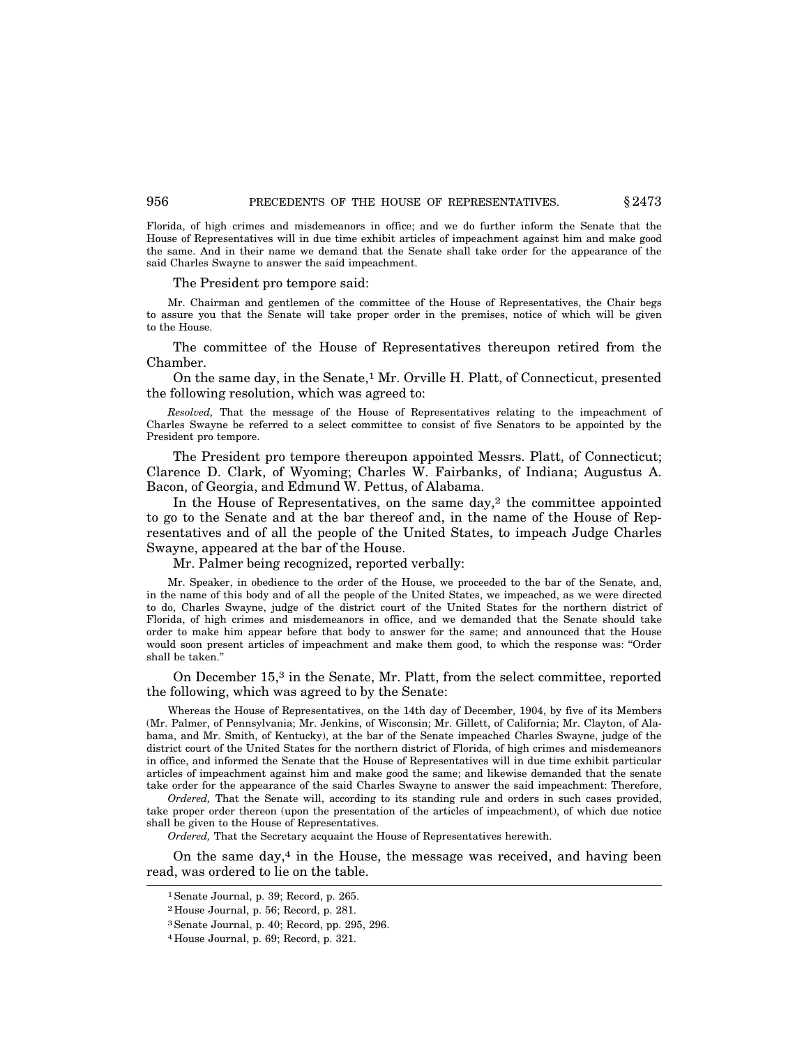Florida, of high crimes and misdemeanors in office; and we do further inform the Senate that the House of Representatives will in due time exhibit articles of impeachment against him and make good the same. And in their name we demand that the Senate shall take order for the appearance of the said Charles Swayne to answer the said impeachment.

#### The President pro tempore said:

Mr. Chairman and gentlemen of the committee of the House of Representatives, the Chair begs to assure you that the Senate will take proper order in the premises, notice of which will be given to the House.

The committee of the House of Representatives thereupon retired from the Chamber.

On the same day, in the Senate,1 Mr. Orville H. Platt, of Connecticut, presented the following resolution, which was agreed to:

*Resolved,* That the message of the House of Representatives relating to the impeachment of Charles Swayne be referred to a select committee to consist of five Senators to be appointed by the President pro tempore.

The President pro tempore thereupon appointed Messrs. Platt, of Connecticut; Clarence D. Clark, of Wyoming; Charles W. Fairbanks, of Indiana; Augustus A. Bacon, of Georgia, and Edmund W. Pettus, of Alabama.

In the House of Representatives, on the same day, $2$  the committee appointed to go to the Senate and at the bar thereof and, in the name of the House of Representatives and of all the people of the United States, to impeach Judge Charles Swayne, appeared at the bar of the House.

Mr. Palmer being recognized, reported verbally:

Mr. Speaker, in obedience to the order of the House, we proceeded to the bar of the Senate, and, in the name of this body and of all the people of the United States, we impeached, as we were directed to do, Charles Swayne, judge of the district court of the United States for the northern district of Florida, of high crimes and misdemeanors in office, and we demanded that the Senate should take order to make him appear before that body to answer for the same; and announced that the House would soon present articles of impeachment and make them good, to which the response was: ''Order shall be taken.''

On December 15,3 in the Senate, Mr. Platt, from the select committee, reported the following, which was agreed to by the Senate:

Whereas the House of Representatives, on the 14th day of December, 1904, by five of its Members (Mr. Palmer, of Pennsylvania; Mr. Jenkins, of Wisconsin; Mr. Gillett, of California; Mr. Clayton, of Alabama, and Mr. Smith, of Kentucky), at the bar of the Senate impeached Charles Swayne, judge of the district court of the United States for the northern district of Florida, of high crimes and misdemeanors in office, and informed the Senate that the House of Representatives will in due time exhibit particular articles of impeachment against him and make good the same; and likewise demanded that the senate take order for the appearance of the said Charles Swayne to answer the said impeachment: Therefore,

*Ordered,* That the Senate will, according to its standing rule and orders in such cases provided, take proper order thereon (upon the presentation of the articles of impeachment), of which due notice shall be given to the House of Representatives.

*Ordered,* That the Secretary acquaint the House of Representatives herewith.

On the same day, $4$  in the House, the message was received, and having been read, was ordered to lie on the table.

<sup>1</sup>Senate Journal, p. 39; Record, p. 265.

<sup>2</sup> House Journal, p. 56; Record, p. 281.

<sup>3</sup>Senate Journal, p. 40; Record, pp. 295, 296.

<sup>4</sup> House Journal, p. 69; Record, p. 321.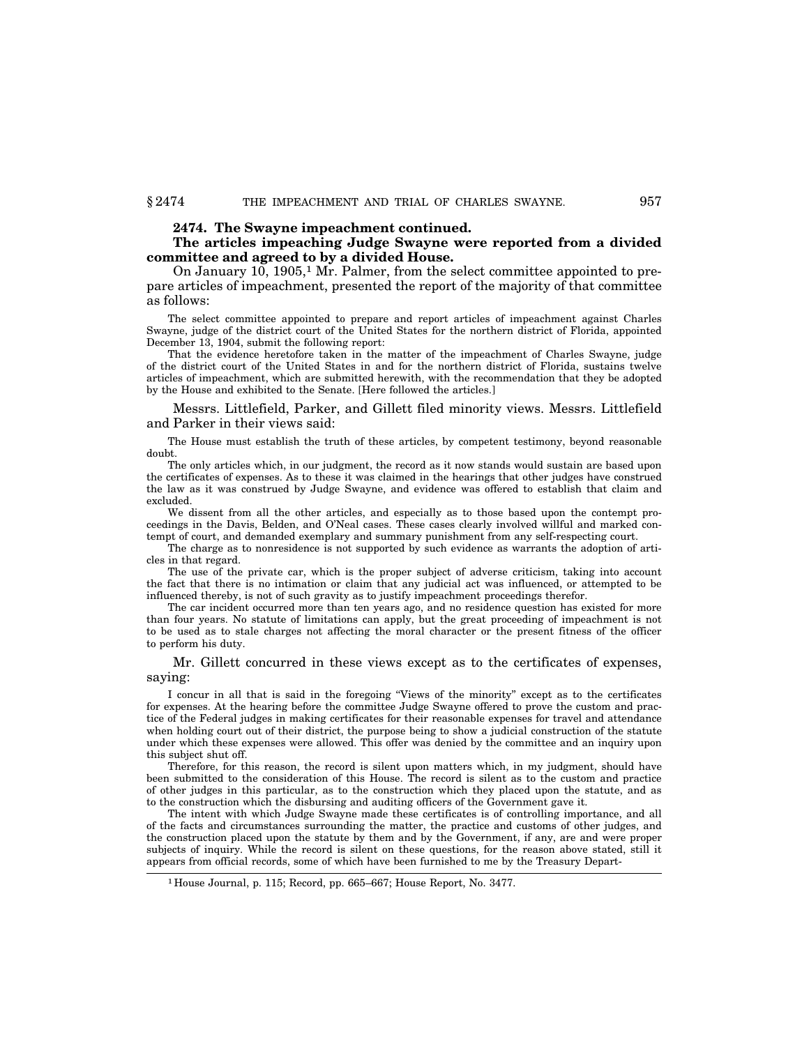#### **2474. The Swayne impeachment continued.**

## **The articles impeaching Judge Swayne were reported from a divided committee and agreed to by a divided House.**

On January 10, 1905,1 Mr. Palmer, from the select committee appointed to prepare articles of impeachment, presented the report of the majority of that committee as follows:

The select committee appointed to prepare and report articles of impeachment against Charles Swayne, judge of the district court of the United States for the northern district of Florida, appointed December 13, 1904, submit the following report:

That the evidence heretofore taken in the matter of the impeachment of Charles Swayne, judge of the district court of the United States in and for the northern district of Florida, sustains twelve articles of impeachment, which are submitted herewith, with the recommendation that they be adopted by the House and exhibited to the Senate. [Here followed the articles.]

Messrs. Littlefield, Parker, and Gillett filed minority views. Messrs. Littlefield and Parker in their views said:

The House must establish the truth of these articles, by competent testimony, beyond reasonable doubt.

The only articles which, in our judgment, the record as it now stands would sustain are based upon the certificates of expenses. As to these it was claimed in the hearings that other judges have construed the law as it was construed by Judge Swayne, and evidence was offered to establish that claim and excluded.

We dissent from all the other articles, and especially as to those based upon the contempt proceedings in the Davis, Belden, and O'Neal cases. These cases clearly involved willful and marked contempt of court, and demanded exemplary and summary punishment from any self-respecting court.

The charge as to nonresidence is not supported by such evidence as warrants the adoption of articles in that regard.

The use of the private car, which is the proper subject of adverse criticism, taking into account the fact that there is no intimation or claim that any judicial act was influenced, or attempted to be influenced thereby, is not of such gravity as to justify impeachment proceedings therefor.

The car incident occurred more than ten years ago, and no residence question has existed for more than four years. No statute of limitations can apply, but the great proceeding of impeachment is not to be used as to stale charges not affecting the moral character or the present fitness of the officer to perform his duty.

Mr. Gillett concurred in these views except as to the certificates of expenses, saying:

I concur in all that is said in the foregoing ''Views of the minority'' except as to the certificates for expenses. At the hearing before the committee Judge Swayne offered to prove the custom and practice of the Federal judges in making certificates for their reasonable expenses for travel and attendance when holding court out of their district, the purpose being to show a judicial construction of the statute under which these expenses were allowed. This offer was denied by the committee and an inquiry upon this subject shut off.

Therefore, for this reason, the record is silent upon matters which, in my judgment, should have been submitted to the consideration of this House. The record is silent as to the custom and practice of other judges in this particular, as to the construction which they placed upon the statute, and as to the construction which the disbursing and auditing officers of the Government gave it.

The intent with which Judge Swayne made these certificates is of controlling importance, and all of the facts and circumstances surrounding the matter, the practice and customs of other judges, and the construction placed upon the statute by them and by the Government, if any, are and were proper subjects of inquiry. While the record is silent on these questions, for the reason above stated, still it appears from official records, some of which have been furnished to me by the Treasury Depart-

<sup>1</sup> House Journal, p. 115; Record, pp. 665–667; House Report, No. 3477.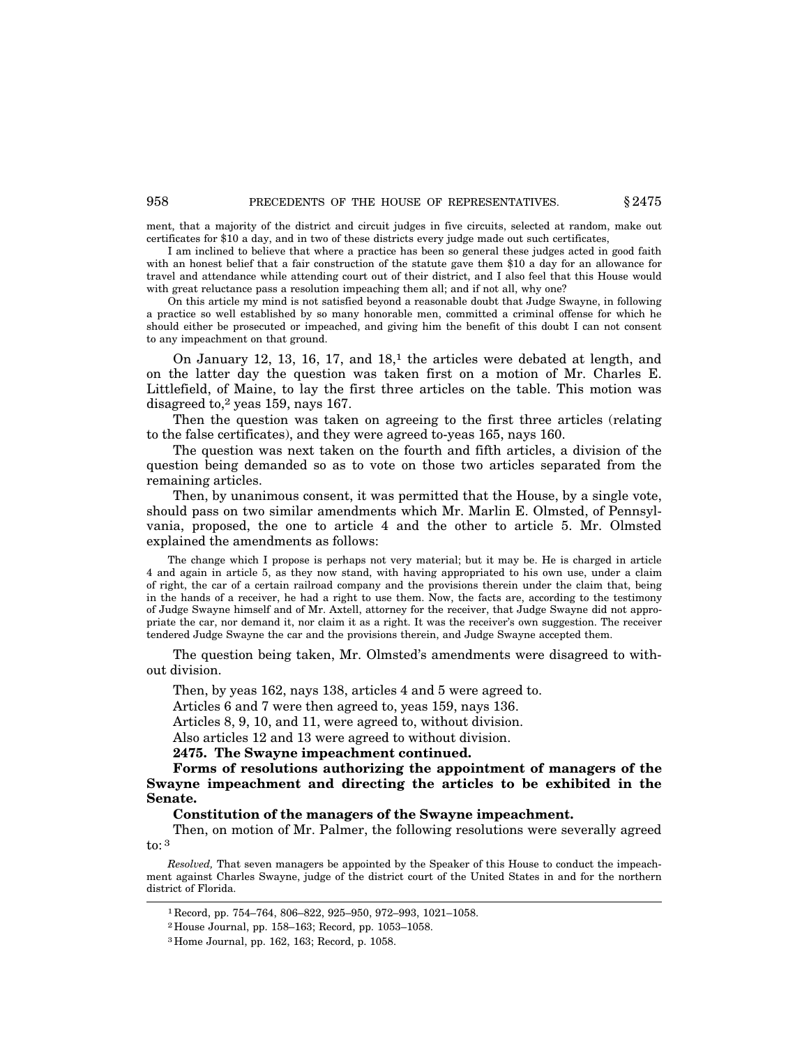ment, that a majority of the district and circuit judges in five circuits, selected at random, make out certificates for \$10 a day, and in two of these districts every judge made out such certificates,

I am inclined to believe that where a practice has been so general these judges acted in good faith with an honest belief that a fair construction of the statute gave them \$10 a day for an allowance for travel and attendance while attending court out of their district, and I also feel that this House would with great reluctance pass a resolution impeaching them all; and if not all, why one?

On this article my mind is not satisfied beyond a reasonable doubt that Judge Swayne, in following a practice so well established by so many honorable men, committed a criminal offense for which he should either be prosecuted or impeached, and giving him the benefit of this doubt I can not consent to any impeachment on that ground.

On January 12, 13, 16, 17, and  $18<sup>1</sup>$ , the articles were debated at length, and on the latter day the question was taken first on a motion of Mr. Charles E. Littlefield, of Maine, to lay the first three articles on the table. This motion was disagreed to,2 yeas 159, nays 167.

Then the question was taken on agreeing to the first three articles (relating to the false certificates), and they were agreed to-yeas 165, nays 160.

The question was next taken on the fourth and fifth articles, a division of the question being demanded so as to vote on those two articles separated from the remaining articles.

Then, by unanimous consent, it was permitted that the House, by a single vote, should pass on two similar amendments which Mr. Marlin E. Olmsted, of Pennsylvania, proposed, the one to article 4 and the other to article 5. Mr. Olmsted explained the amendments as follows:

The change which I propose is perhaps not very material; but it may be. He is charged in article 4 and again in article 5, as they now stand, with having appropriated to his own use, under a claim of right, the car of a certain railroad company and the provisions therein under the claim that, being in the hands of a receiver, he had a right to use them. Now, the facts are, according to the testimony of Judge Swayne himself and of Mr. Axtell, attorney for the receiver, that Judge Swayne did not appropriate the car, nor demand it, nor claim it as a right. It was the receiver's own suggestion. The receiver tendered Judge Swayne the car and the provisions therein, and Judge Swayne accepted them.

The question being taken, Mr. Olmsted's amendments were disagreed to without division.

Then, by yeas 162, nays 138, articles 4 and 5 were agreed to.

Articles 6 and 7 were then agreed to, yeas 159, nays 136.

Articles 8, 9, 10, and 11, were agreed to, without division.

Also articles 12 and 13 were agreed to without division.

**2475. The Swayne impeachment continued.**

**Forms of resolutions authorizing the appointment of managers of the Swayne impeachment and directing the articles to be exhibited in the Senate.**

**Constitution of the managers of the Swayne impeachment.**

Then, on motion of Mr. Palmer, the following resolutions were severally agreed to: 3

*Resolved,* That seven managers be appointed by the Speaker of this House to conduct the impeachment against Charles Swayne, judge of the district court of the United States in and for the northern district of Florida.

<sup>1</sup> Record, pp. 754–764, 806–822, 925–950, 972–993, 1021–1058.

<sup>2</sup> House Journal, pp. 158–163; Record, pp. 1053–1058.

<sup>3</sup> Home Journal, pp. 162, 163; Record, p. 1058.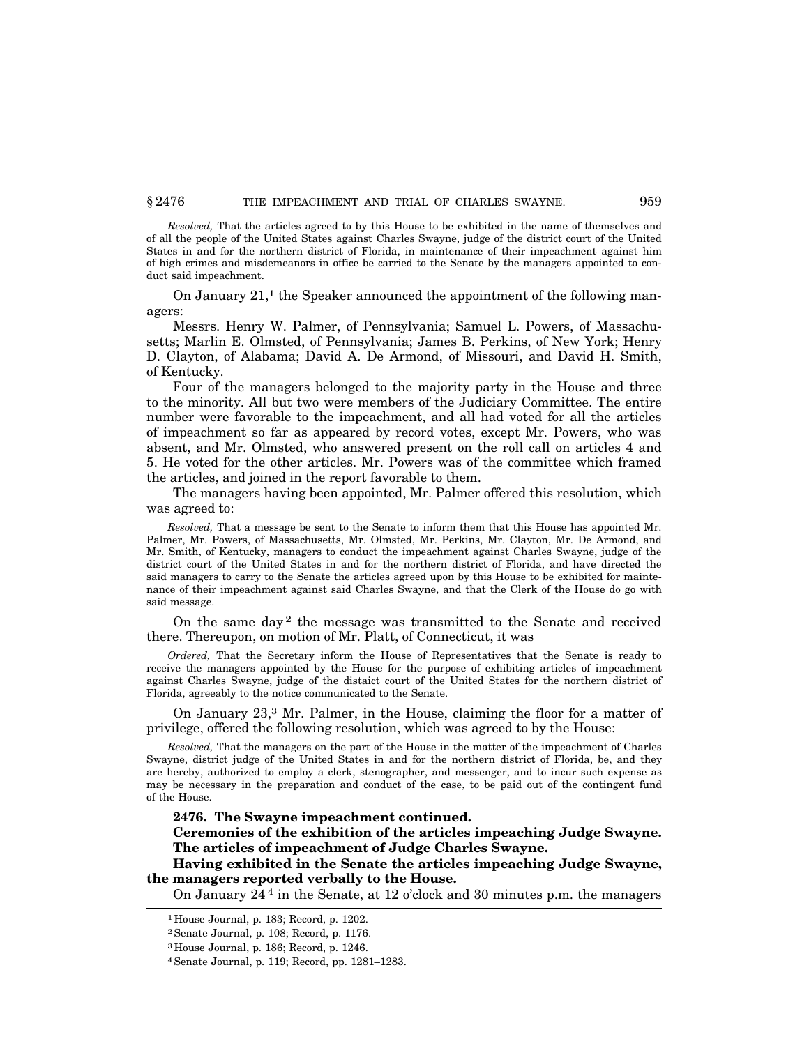*Resolved,* That the articles agreed to by this House to be exhibited in the name of themselves and of all the people of the United States against Charles Swayne, judge of the district court of the United States in and for the northern district of Florida, in maintenance of their impeachment against him of high crimes and misdemeanors in office be carried to the Senate by the managers appointed to conduct said impeachment.

On January  $21<sup>1</sup>$ , the Speaker announced the appointment of the following managers:

Messrs. Henry W. Palmer, of Pennsylvania; Samuel L. Powers, of Massachusetts; Marlin E. Olmsted, of Pennsylvania; James B. Perkins, of New York; Henry D. Clayton, of Alabama; David A. De Armond, of Missouri, and David H. Smith, of Kentucky.

Four of the managers belonged to the majority party in the House and three to the minority. All but two were members of the Judiciary Committee. The entire number were favorable to the impeachment, and all had voted for all the articles of impeachment so far as appeared by record votes, except Mr. Powers, who was absent, and Mr. Olmsted, who answered present on the roll call on articles 4 and 5. He voted for the other articles. Mr. Powers was of the committee which framed the articles, and joined in the report favorable to them.

The managers having been appointed, Mr. Palmer offered this resolution, which was agreed to:

*Resolved,* That a message be sent to the Senate to inform them that this House has appointed Mr. Palmer, Mr. Powers, of Massachusetts, Mr. Olmsted, Mr. Perkins, Mr. Clayton, Mr. De Armond, and Mr. Smith, of Kentucky, managers to conduct the impeachment against Charles Swayne, judge of the district court of the United States in and for the northern district of Florida, and have directed the said managers to carry to the Senate the articles agreed upon by this House to be exhibited for maintenance of their impeachment against said Charles Swayne, and that the Clerk of the House do go with said message.

On the same day<sup>2</sup> the message was transmitted to the Senate and received there. Thereupon, on motion of Mr. Platt, of Connecticut, it was

*Ordered,* That the Secretary inform the House of Representatives that the Senate is ready to receive the managers appointed by the House for the purpose of exhibiting articles of impeachment against Charles Swayne, judge of the distaict court of the United States for the northern district of Florida, agreeably to the notice communicated to the Senate.

On January 23,3 Mr. Palmer, in the House, claiming the floor for a matter of privilege, offered the following resolution, which was agreed to by the House:

*Resolved,* That the managers on the part of the House in the matter of the impeachment of Charles Swayne, district judge of the United States in and for the northern district of Florida, be, and they are hereby, authorized to employ a clerk, stenographer, and messenger, and to incur such expense as may be necessary in the preparation and conduct of the case, to be paid out of the contingent fund of the House.

**2476. The Swayne impeachment continued.**

**Ceremonies of the exhibition of the articles impeaching Judge Swayne. The articles of impeachment of Judge Charles Swayne.**

**Having exhibited in the Senate the articles impeaching Judge Swayne, the managers reported verbally to the House.**

On January 24 4 in the Senate, at 12 o'clock and 30 minutes p.m. the managers

<sup>1</sup> House Journal, p. 183; Record, p. 1202.

<sup>2</sup>Senate Journal, p. 108; Record, p. 1176.

<sup>3</sup> House Journal, p. 186; Record, p. 1246.

<sup>4</sup>Senate Journal, p. 119; Record, pp. 1281–1283.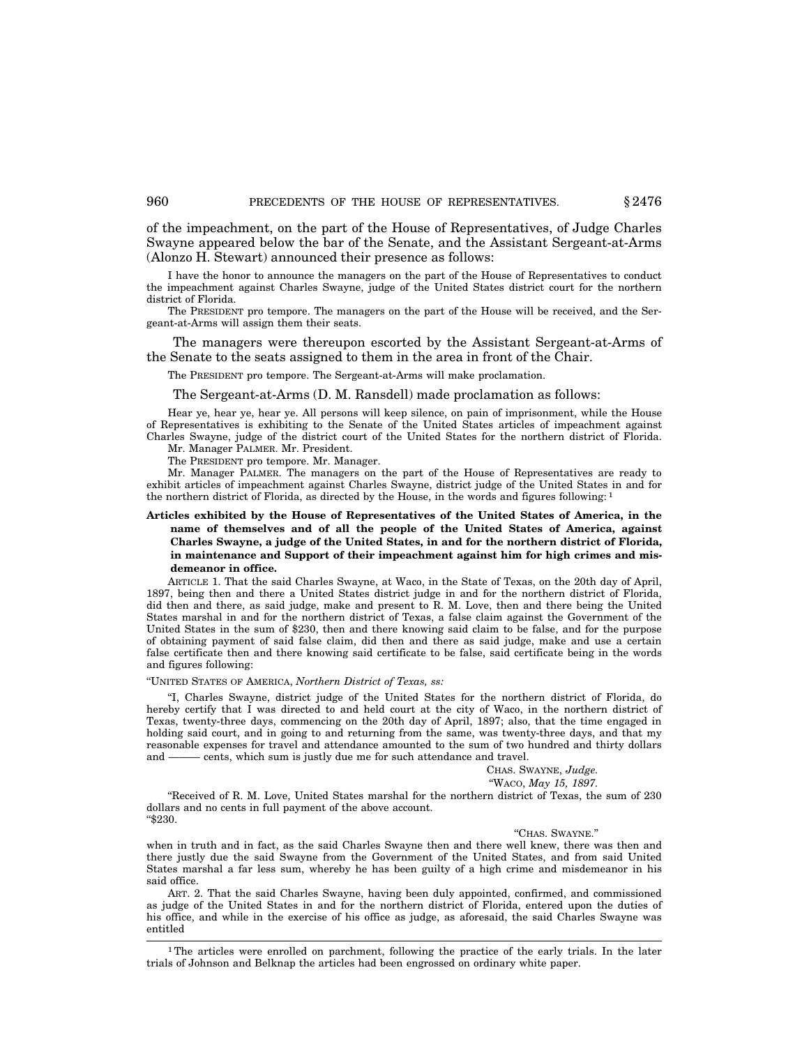of the impeachment, on the part of the House of Representatives, of Judge Charles Swayne appeared below the bar of the Senate, and the Assistant Sergeant-at-Arms (Alonzo H. Stewart) announced their presence as follows:

I have the honor to announce the managers on the part of the House of Representatives to conduct the impeachment against Charles Swayne, judge of the United States district court for the northern district of Florida.

The PRESIDENT pro tempore. The managers on the part of the House will be received, and the Sergeant-at-Arms will assign them their seats.

The managers were thereupon escorted by the Assistant Sergeant-at-Arms of the Senate to the seats assigned to them in the area in front of the Chair.

The PRESIDENT pro tempore. The Sergeant-at-Arms will make proclamation.

The Sergeant-at-Arms (D. M. Ransdell) made proclamation as follows:

Hear ye, hear ye, hear ye. All persons will keep silence, on pain of imprisonment, while the House of Representatives is exhibiting to the Senate of the United States articles of impeachment against Charles Swayne, judge of the district court of the United States for the northern district of Florida. Mr. Manager PALMER. Mr. President.

The PRESIDENT pro tempore. Mr. Manager.

Mr. Manager PALMER. The managers on the part of the House of Representatives are ready to exhibit articles of impeachment against Charles Swayne, district judge of the United States in and for the northern district of Florida, as directed by the House, in the words and figures following: 1

## **Articles exhibited by the House of Representatives of the United States of America, in the name of themselves and of all the people of the United States of America, against Charles Swayne, a judge of the United States, in and for the northern district of Florida, in maintenance and Support of their impeachment against him for high crimes and misdemeanor in office.**

ARTICLE 1. That the said Charles Swayne, at Waco, in the State of Texas, on the 20th day of April, 1897, being then and there a United States district judge in and for the northern district of Florida, did then and there, as said judge, make and present to R. M. Love, then and there being the United States marshal in and for the northern district of Texas, a false claim against the Government of the United States in the sum of \$230, then and there knowing said claim to be false, and for the purpose of obtaining payment of said false claim, did then and there as said judge, make and use a certain false certificate then and there knowing said certificate to be false, said certificate being in the words and figures following:

''UNITED STATES OF AMERICA, *Northern District of Texas, ss:*

''I, Charles Swayne, district judge of the United States for the northern district of Florida, do hereby certify that I was directed to and held court at the city of Waco, in the northern district of Texas, twenty-three days, commencing on the 20th day of April, 1897; also, that the time engaged in holding said court, and in going to and returning from the same, was twenty-three days, and that my reasonable expenses for travel and attendance amounted to the sum of two hundred and thirty dollars and ——— cents, which sum is justly due me for such attendance and travel.

## CHAS. SWAYNE, *Judge.*

#### ''WACO, *May 15, 1897.*

''Received of R. M. Love, United States marshal for the northern district of Texas, the sum of 230 dollars and no cents in full payment of the above account. ''\$230.

#### ''CHAS. SWAYNE.''

when in truth and in fact, as the said Charles Swayne then and there well knew, there was then and there justly due the said Swayne from the Government of the United States, and from said United States marshal a far less sum, whereby he has been guilty of a high crime and misdemeanor in his said office.

ART. 2. That the said Charles Swayne, having been duly appointed, confirmed, and commissioned as judge of the United States in and for the northern district of Florida, entered upon the duties of his office, and while in the exercise of his office as judge, as aforesaid, the said Charles Swayne was entitled

<sup>1</sup>The articles were enrolled on parchment, following the practice of the early trials. In the later trials of Johnson and Belknap the articles had been engrossed on ordinary white paper.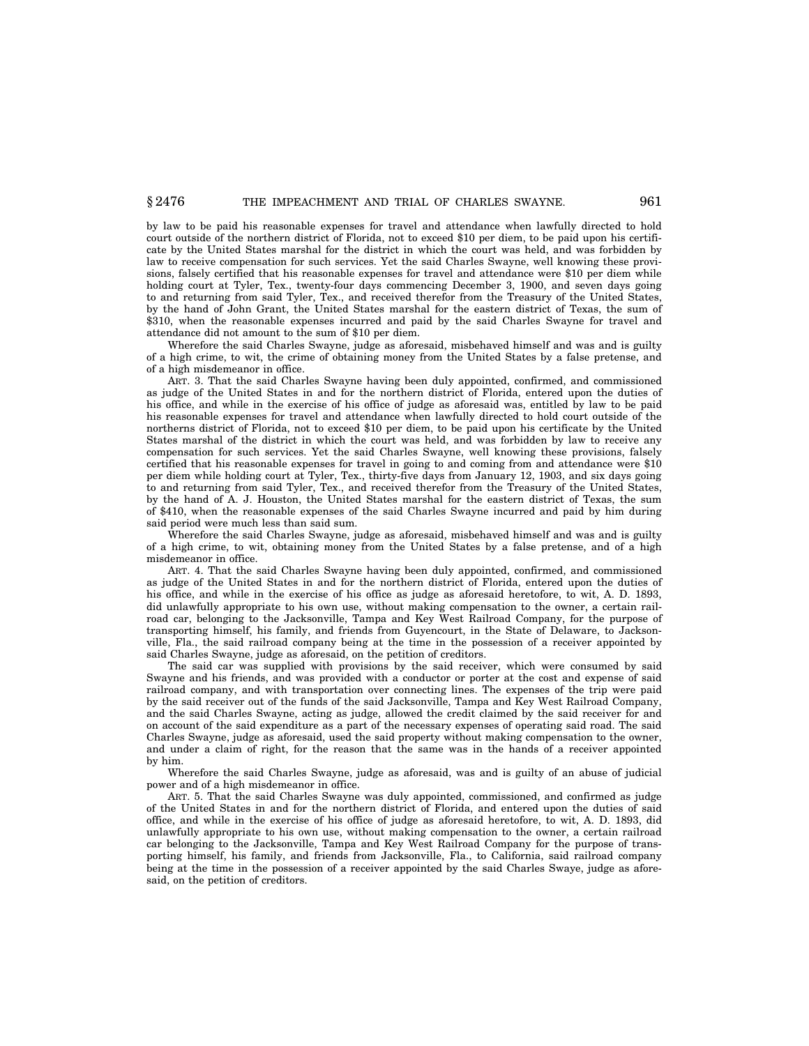by law to be paid his reasonable expenses for travel and attendance when lawfully directed to hold court outside of the northern district of Florida, not to exceed \$10 per diem, to be paid upon his certificate by the United States marshal for the district in which the court was held, and was forbidden by law to receive compensation for such services. Yet the said Charles Swayne, well knowing these provisions, falsely certified that his reasonable expenses for travel and attendance were \$10 per diem while holding court at Tyler, Tex., twenty-four days commencing December 3, 1900, and seven days going to and returning from said Tyler, Tex., and received therefor from the Treasury of the United States, by the hand of John Grant, the United States marshal for the eastern district of Texas, the sum of \$310, when the reasonable expenses incurred and paid by the said Charles Swayne for travel and attendance did not amount to the sum of \$10 per diem.

Wherefore the said Charles Swayne, judge as aforesaid, misbehaved himself and was and is guilty of a high crime, to wit, the crime of obtaining money from the United States by a false pretense, and of a high misdemeanor in office.

ART. 3. That the said Charles Swayne having been duly appointed, confirmed, and commissioned as judge of the United States in and for the northern district of Florida, entered upon the duties of his office, and while in the exercise of his office of judge as aforesaid was, entitled by law to be paid his reasonable expenses for travel and attendance when lawfully directed to hold court outside of the northerns district of Florida, not to exceed \$10 per diem, to be paid upon his certificate by the United States marshal of the district in which the court was held, and was forbidden by law to receive any compensation for such services. Yet the said Charles Swayne, well knowing these provisions, falsely certified that his reasonable expenses for travel in going to and coming from and attendance were \$10 per diem while holding court at Tyler, Tex., thirty-five days from January 12, 1903, and six days going to and returning from said Tyler, Tex., and received therefor from the Treasury of the United States, by the hand of A. J. Houston, the United States marshal for the eastern district of Texas, the sum of \$410, when the reasonable expenses of the said Charles Swayne incurred and paid by him during said period were much less than said sum.

Wherefore the said Charles Swayne, judge as aforesaid, misbehaved himself and was and is guilty of a high crime, to wit, obtaining money from the United States by a false pretense, and of a high misdemeanor in office.

ART. 4. That the said Charles Swayne having been duly appointed, confirmed, and commissioned as judge of the United States in and for the northern district of Florida, entered upon the duties of his office, and while in the exercise of his office as judge as aforesaid heretofore, to wit, A. D. 1893, did unlawfully appropriate to his own use, without making compensation to the owner, a certain railroad car, belonging to the Jacksonville, Tampa and Key West Railroad Company, for the purpose of transporting himself, his family, and friends from Guyencourt, in the State of Delaware, to Jacksonville, Fla., the said railroad company being at the time in the possession of a receiver appointed by said Charles Swayne, judge as aforesaid, on the petition of creditors.

The said car was supplied with provisions by the said receiver, which were consumed by said Swayne and his friends, and was provided with a conductor or porter at the cost and expense of said railroad company, and with transportation over connecting lines. The expenses of the trip were paid by the said receiver out of the funds of the said Jacksonville, Tampa and Key West Railroad Company, and the said Charles Swayne, acting as judge, allowed the credit claimed by the said receiver for and on account of the said expenditure as a part of the necessary expenses of operating said road. The said Charles Swayne, judge as aforesaid, used the said property without making compensation to the owner, and under a claim of right, for the reason that the same was in the hands of a receiver appointed by him.

Wherefore the said Charles Swayne, judge as aforesaid, was and is guilty of an abuse of judicial power and of a high misdemeanor in office.

ART. 5. That the said Charles Swayne was duly appointed, commissioned, and confirmed as judge of the United States in and for the northern district of Florida, and entered upon the duties of said office, and while in the exercise of his office of judge as aforesaid heretofore, to wit, A. D. 1893, did unlawfully appropriate to his own use, without making compensation to the owner, a certain railroad car belonging to the Jacksonville, Tampa and Key West Railroad Company for the purpose of transporting himself, his family, and friends from Jacksonville, Fla., to California, said railroad company being at the time in the possession of a receiver appointed by the said Charles Swaye, judge as aforesaid, on the petition of creditors.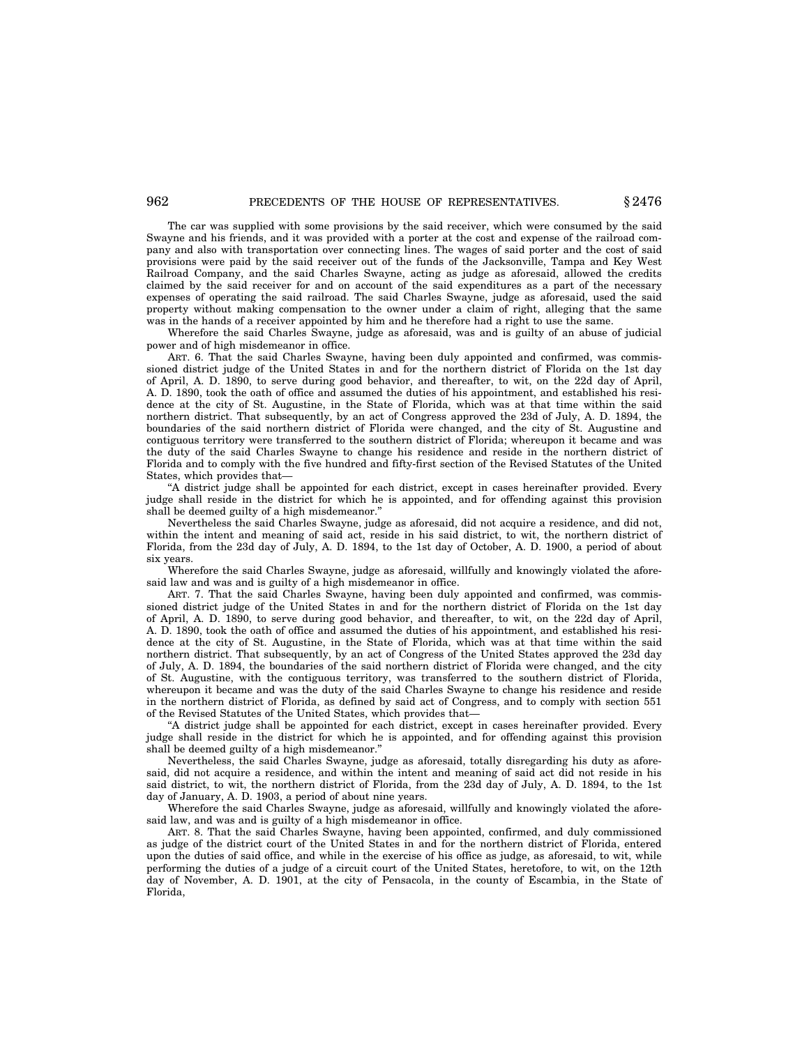## 962 **PRECEDENTS OF THE HOUSE OF REPRESENTATIVES.**  $§ 2476$

The car was supplied with some provisions by the said receiver, which were consumed by the said Swayne and his friends, and it was provided with a porter at the cost and expense of the railroad company and also with transportation over connecting lines. The wages of said porter and the cost of said provisions were paid by the said receiver out of the funds of the Jacksonville, Tampa and Key West Railroad Company, and the said Charles Swayne, acting as judge as aforesaid, allowed the credits claimed by the said receiver for and on account of the said expenditures as a part of the necessary expenses of operating the said railroad. The said Charles Swayne, judge as aforesaid, used the said property without making compensation to the owner under a claim of right, alleging that the same was in the hands of a receiver appointed by him and he therefore had a right to use the same.

Wherefore the said Charles Swayne, judge as aforesaid, was and is guilty of an abuse of judicial power and of high misdemeanor in office.

ART. 6. That the said Charles Swayne, having been duly appointed and confirmed, was commissioned district judge of the United States in and for the northern district of Florida on the 1st day of April, A. D. 1890, to serve during good behavior, and thereafter, to wit, on the 22d day of April, A. D. 1890, took the oath of office and assumed the duties of his appointment, and established his residence at the city of St. Augustine, in the State of Florida, which was at that time within the said northern district. That subsequently, by an act of Congress approved the 23d of July, A. D. 1894, the boundaries of the said northern district of Florida were changed, and the city of St. Augustine and contiguous territory were transferred to the southern district of Florida; whereupon it became and was the duty of the said Charles Swayne to change his residence and reside in the northern district of Florida and to comply with the five hundred and fifty-first section of the Revised Statutes of the United States, which provides that—

''A district judge shall be appointed for each district, except in cases hereinafter provided. Every judge shall reside in the district for which he is appointed, and for offending against this provision shall be deemed guilty of a high misdemeanor.''

Nevertheless the said Charles Swayne, judge as aforesaid, did not acquire a residence, and did not, within the intent and meaning of said act, reside in his said district, to wit, the northern district of Florida, from the 23d day of July, A. D. 1894, to the 1st day of October, A. D. 1900, a period of about six years.

Wherefore the said Charles Swayne, judge as aforesaid, willfully and knowingly violated the aforesaid law and was and is guilty of a high misdemeanor in office.

ART. 7. That the said Charles Swayne, having been duly appointed and confirmed, was commissioned district judge of the United States in and for the northern district of Florida on the 1st day of April, A. D. 1890, to serve during good behavior, and thereafter, to wit, on the 22d day of April, A. D. 1890, took the oath of office and assumed the duties of his appointment, and established his residence at the city of St. Augustine, in the State of Florida, which was at that time within the said northern district. That subsequently, by an act of Congress of the United States approved the 23d day of July, A. D. 1894, the boundaries of the said northern district of Florida were changed, and the city of St. Augustine, with the contiguous territory, was transferred to the southern district of Florida, whereupon it became and was the duty of the said Charles Swayne to change his residence and reside in the northern district of Florida, as defined by said act of Congress, and to comply with section 551 of the Revised Statutes of the United States, which provides that—

''A district judge shall be appointed for each district, except in cases hereinafter provided. Every judge shall reside in the district for which he is appointed, and for offending against this provision shall be deemed guilty of a high misdemeanor.''

Nevertheless, the said Charles Swayne, judge as aforesaid, totally disregarding his duty as aforesaid, did not acquire a residence, and within the intent and meaning of said act did not reside in his said district, to wit, the northern district of Florida, from the 23d day of July, A. D. 1894, to the 1st day of January, A. D. 1903, a period of about nine years.

Wherefore the said Charles Swayne, judge as aforesaid, willfully and knowingly violated the aforesaid law, and was and is guilty of a high misdemeanor in office.

ART. 8. That the said Charles Swayne, having been appointed, confirmed, and duly commissioned as judge of the district court of the United States in and for the northern district of Florida, entered upon the duties of said office, and while in the exercise of his office as judge, as aforesaid, to wit, while performing the duties of a judge of a circuit court of the United States, heretofore, to wit, on the 12th day of November, A. D. 1901, at the city of Pensacola, in the county of Escambia, in the State of Florida,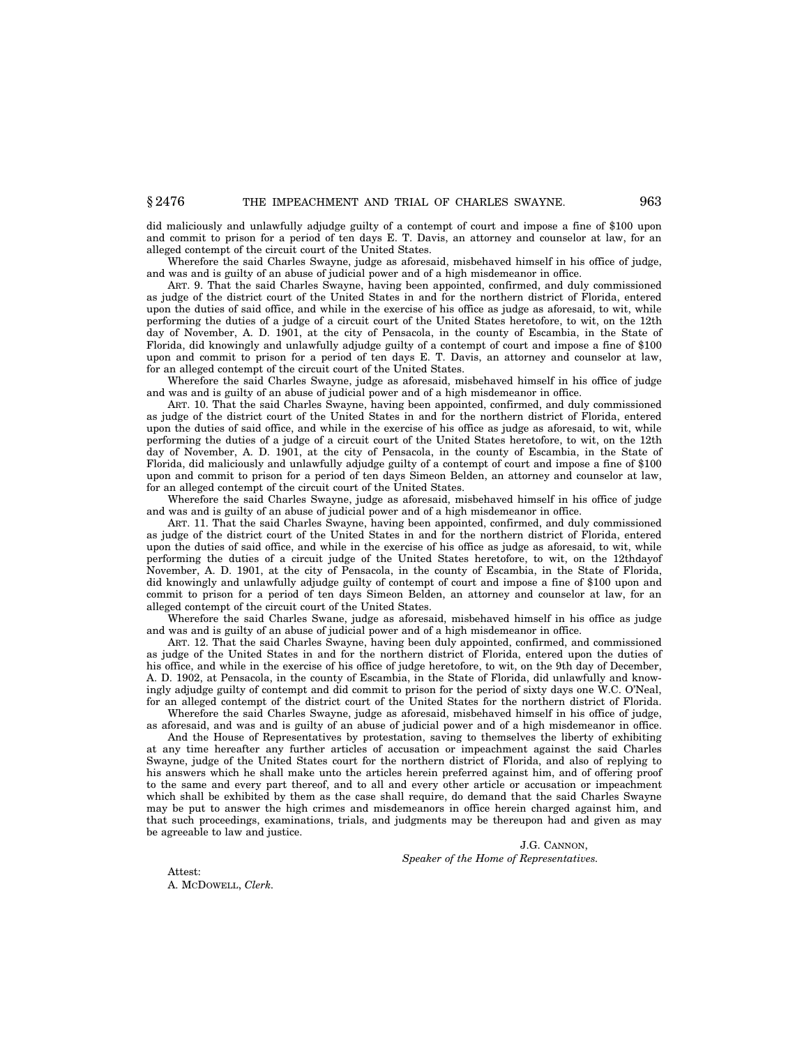did maliciously and unlawfully adjudge guilty of a contempt of court and impose a fine of \$100 upon and commit to prison for a period of ten days E. T. Davis, an attorney and counselor at law, for an alleged contempt of the circuit court of the United States.

Wherefore the said Charles Swayne, judge as aforesaid, misbehaved himself in his office of judge, and was and is guilty of an abuse of judicial power and of a high misdemeanor in office.

ART. 9. That the said Charles Swayne, having been appointed, confirmed, and duly commissioned as judge of the district court of the United States in and for the northern district of Florida, entered upon the duties of said office, and while in the exercise of his office as judge as aforesaid, to wit, while performing the duties of a judge of a circuit court of the United States heretofore, to wit, on the 12th day of November, A. D. 1901, at the city of Pensacola, in the county of Escambia, in the State of Florida, did knowingly and unlawfully adjudge guilty of a contempt of court and impose a fine of \$100 upon and commit to prison for a period of ten days E. T. Davis, an attorney and counselor at law, for an alleged contempt of the circuit court of the United States.

Wherefore the said Charles Swayne, judge as aforesaid, misbehaved himself in his office of judge and was and is guilty of an abuse of judicial power and of a high misdemeanor in office.

ART. 10. That the said Charles Swayne, having been appointed, confirmed, and duly commissioned as judge of the district court of the United States in and for the northern district of Florida, entered upon the duties of said office, and while in the exercise of his office as judge as aforesaid, to wit, while performing the duties of a judge of a circuit court of the United States heretofore, to wit, on the 12th day of November, A. D. 1901, at the city of Pensacola, in the county of Escambia, in the State of Florida, did maliciously and unlawfully adjudge guilty of a contempt of court and impose a fine of \$100 upon and commit to prison for a period of ten days Simeon Belden, an attorney and counselor at law, for an alleged contempt of the circuit court of the United States.

Wherefore the said Charles Swayne, judge as aforesaid, misbehaved himself in his office of judge and was and is guilty of an abuse of judicial power and of a high misdemeanor in office.

ART. 11. That the said Charles Swayne, having been appointed, confirmed, and duly commissioned as judge of the district court of the United States in and for the northern district of Florida, entered upon the duties of said office, and while in the exercise of his office as judge as aforesaid, to wit, while performing the duties of a circuit judge of the United States heretofore, to wit, on the 12thdayof November, A. D. 1901, at the city of Pensacola, in the county of Escambia, in the State of Florida, did knowingly and unlawfully adjudge guilty of contempt of court and impose a fine of \$100 upon and commit to prison for a period of ten days Simeon Belden, an attorney and counselor at law, for an alleged contempt of the circuit court of the United States.

Wherefore the said Charles Swane, judge as aforesaid, misbehaved himself in his office as judge and was and is guilty of an abuse of judicial power and of a high misdemeanor in office.

ART. 12. That the said Charles Swayne, having been duly appointed, confirmed, and commissioned as judge of the United States in and for the northern district of Florida, entered upon the duties of his office, and while in the exercise of his office of judge heretofore, to wit, on the 9th day of December, A. D. 1902, at Pensacola, in the county of Escambia, in the State of Florida, did unlawfully and knowingly adjudge guilty of contempt and did commit to prison for the period of sixty days one W.C. O'Neal, for an alleged contempt of the district court of the United States for the northern district of Florida.

Wherefore the said Charles Swayne, judge as aforesaid, misbehaved himself in his office of judge, as aforesaid, and was and is guilty of an abuse of judicial power and of a high misdemeanor in office.

And the House of Representatives by protestation, saving to themselves the liberty of exhibiting at any time hereafter any further articles of accusation or impeachment against the said Charles Swayne, judge of the United States court for the northern district of Florida, and also of replying to his answers which he shall make unto the articles herein preferred against him, and of offering proof to the same and every part thereof, and to all and every other article or accusation or impeachment which shall be exhibited by them as the case shall require, do demand that the said Charles Swayne may be put to answer the high crimes and misdemeanors in office herein charged against him, and that such proceedings, examinations, trials, and judgments may be thereupon had and given as may be agreeable to law and justice.

> J.G. CANNON, *Speaker of the Home of Representatives.*

Attest: A. MCDOWELL, *Clerk.*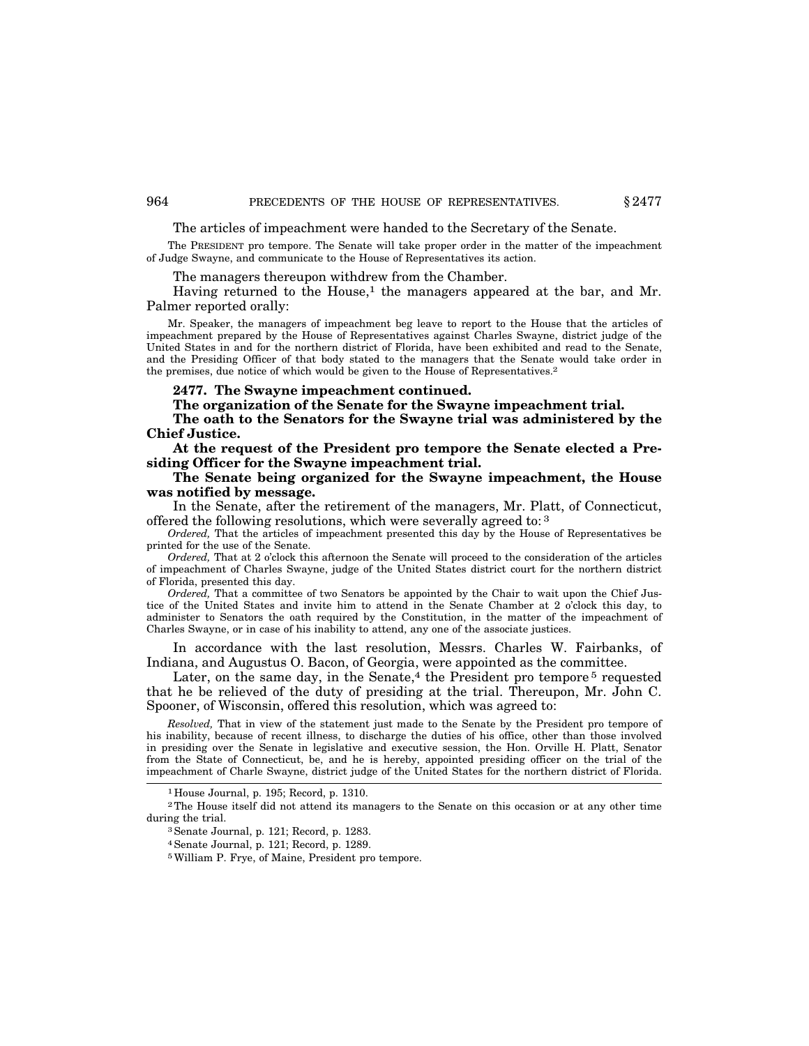The articles of impeachment were handed to the Secretary of the Senate.

The PRESIDENT pro tempore. The Senate will take proper order in the matter of the impeachment of Judge Swayne, and communicate to the House of Representatives its action.

The managers thereupon withdrew from the Chamber.

Having returned to the House, $<sup>1</sup>$  the managers appeared at the bar, and Mr.</sup> Palmer reported orally:

Mr. Speaker, the managers of impeachment beg leave to report to the House that the articles of impeachment prepared by the House of Representatives against Charles Swayne, district judge of the United States in and for the northern district of Florida, have been exhibited and read to the Senate, and the Presiding Officer of that body stated to the managers that the Senate would take order in the premises, due notice of which would be given to the House of Representatives.2

**2477. The Swayne impeachment continued.**

**The organization of the Senate for the Swayne impeachment trial.**

**The oath to the Senators for the Swayne trial was administered by the Chief Justice.**

**At the request of the President pro tempore the Senate elected a Presiding Officer for the Swayne impeachment trial.**

**The Senate being organized for the Swayne impeachment, the House was notified by message.**

In the Senate, after the retirement of the managers, Mr. Platt, of Connecticut, offered the following resolutions, which were severally agreed to: 3

*Ordered,* That the articles of impeachment presented this day by the House of Representatives be printed for the use of the Senate.

*Ordered,* That at 2 o'clock this afternoon the Senate will proceed to the consideration of the articles of impeachment of Charles Swayne, judge of the United States district court for the northern district of Florida, presented this day.

*Ordered,* That a committee of two Senators be appointed by the Chair to wait upon the Chief Justice of the United States and invite him to attend in the Senate Chamber at 2 o'clock this day, to administer to Senators the oath required by the Constitution, in the matter of the impeachment of Charles Swayne, or in case of his inability to attend, any one of the associate justices.

In accordance with the last resolution, Messrs. Charles W. Fairbanks, of Indiana, and Augustus O. Bacon, of Georgia, were appointed as the committee.

Later, on the same day, in the Senate, $4$  the President pro tempore  $5$  requested that he be relieved of the duty of presiding at the trial. Thereupon, Mr. John C. Spooner, of Wisconsin, offered this resolution, which was agreed to:

*Resolved,* That in view of the statement just made to the Senate by the President pro tempore of his inability, because of recent illness, to discharge the duties of his office, other than those involved in presiding over the Senate in legislative and executive session, the Hon. Orville H. Platt, Senator from the State of Connecticut, be, and he is hereby, appointed presiding officer on the trial of the impeachment of Charle Swayne, district judge of the United States for the northern district of Florida.

3Senate Journal, p. 121; Record, p. 1283.

4Senate Journal, p. 121; Record, p. 1289.

5William P. Frye, of Maine, President pro tempore.

<sup>1</sup> House Journal, p. 195; Record, p. 1310.

<sup>2</sup>The House itself did not attend its managers to the Senate on this occasion or at any other time during the trial.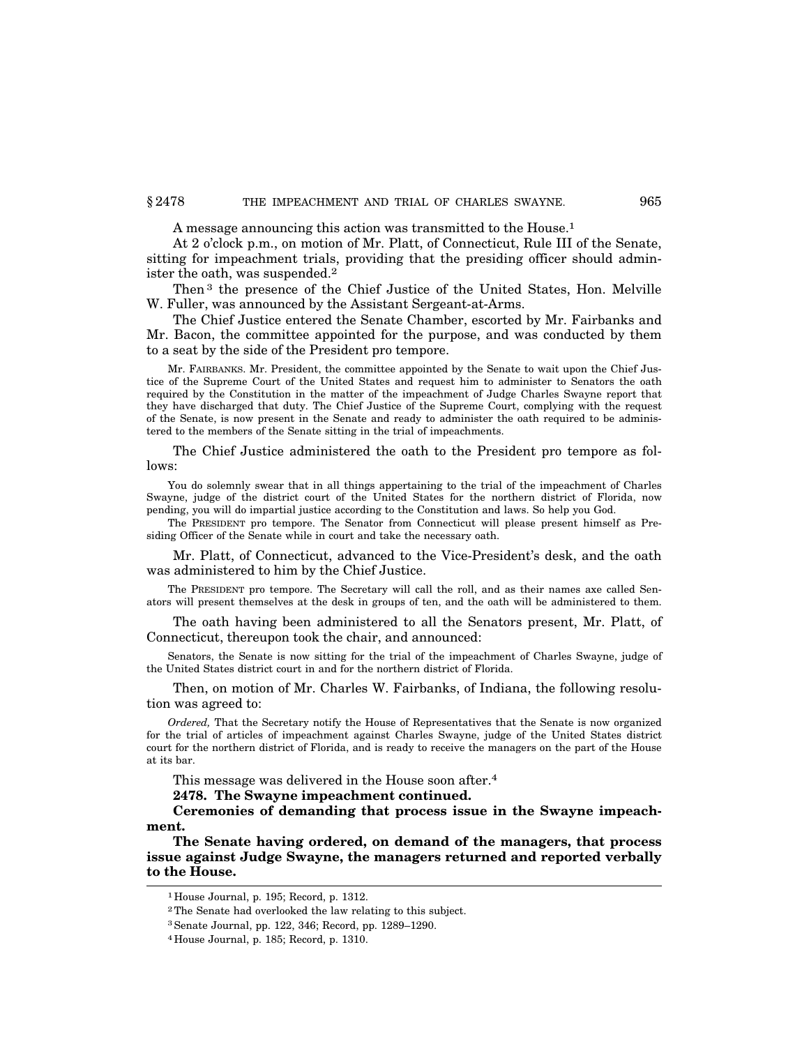A message announcing this action was transmitted to the House.1

At 2 o'clock p.m., on motion of Mr. Platt, of Connecticut, Rule III of the Senate, sitting for impeachment trials, providing that the presiding officer should administer the oath, was suspended.2

Then 3 the presence of the Chief Justice of the United States, Hon. Melville W. Fuller, was announced by the Assistant Sergeant-at-Arms.

The Chief Justice entered the Senate Chamber, escorted by Mr. Fairbanks and Mr. Bacon, the committee appointed for the purpose, and was conducted by them to a seat by the side of the President pro tempore.

Mr. FAIRBANKS. Mr. President, the committee appointed by the Senate to wait upon the Chief Justice of the Supreme Court of the United States and request him to administer to Senators the oath required by the Constitution in the matter of the impeachment of Judge Charles Swayne report that they have discharged that duty. The Chief Justice of the Supreme Court, complying with the request of the Senate, is now present in the Senate and ready to administer the oath required to be administered to the members of the Senate sitting in the trial of impeachments.

The Chief Justice administered the oath to the President pro tempore as follows:

You do solemnly swear that in all things appertaining to the trial of the impeachment of Charles Swayne, judge of the district court of the United States for the northern district of Florida, now pending, you will do impartial justice according to the Constitution and laws. So help you God.

The PRESIDENT pro tempore. The Senator from Connecticut will please present himself as Presiding Officer of the Senate while in court and take the necessary oath.

Mr. Platt, of Connecticut, advanced to the Vice-President's desk, and the oath was administered to him by the Chief Justice.

The PRESIDENT pro tempore. The Secretary will call the roll, and as their names axe called Senators will present themselves at the desk in groups of ten, and the oath will be administered to them.

The oath having been administered to all the Senators present, Mr. Platt, of Connecticut, thereupon took the chair, and announced:

Senators, the Senate is now sitting for the trial of the impeachment of Charles Swayne, judge of the United States district court in and for the northern district of Florida.

Then, on motion of Mr. Charles W. Fairbanks, of Indiana, the following resolution was agreed to:

*Ordered,* That the Secretary notify the House of Representatives that the Senate is now organized for the trial of articles of impeachment against Charles Swayne, judge of the United States district court for the northern district of Florida, and is ready to receive the managers on the part of the House at its bar.

This message was delivered in the House soon after.4

**2478. The Swayne impeachment continued.**

**Ceremonies of demanding that process issue in the Swayne impeachment.**

**The Senate having ordered, on demand of the managers, that process issue against Judge Swayne, the managers returned and reported verbally to the House.**

<sup>1</sup> House Journal, p. 195; Record, p. 1312.

<sup>2</sup>The Senate had overlooked the law relating to this subject.

<sup>3</sup>Senate Journal, pp. 122, 346; Record, pp. 1289–1290.

<sup>4</sup> House Journal, p. 185; Record, p. 1310.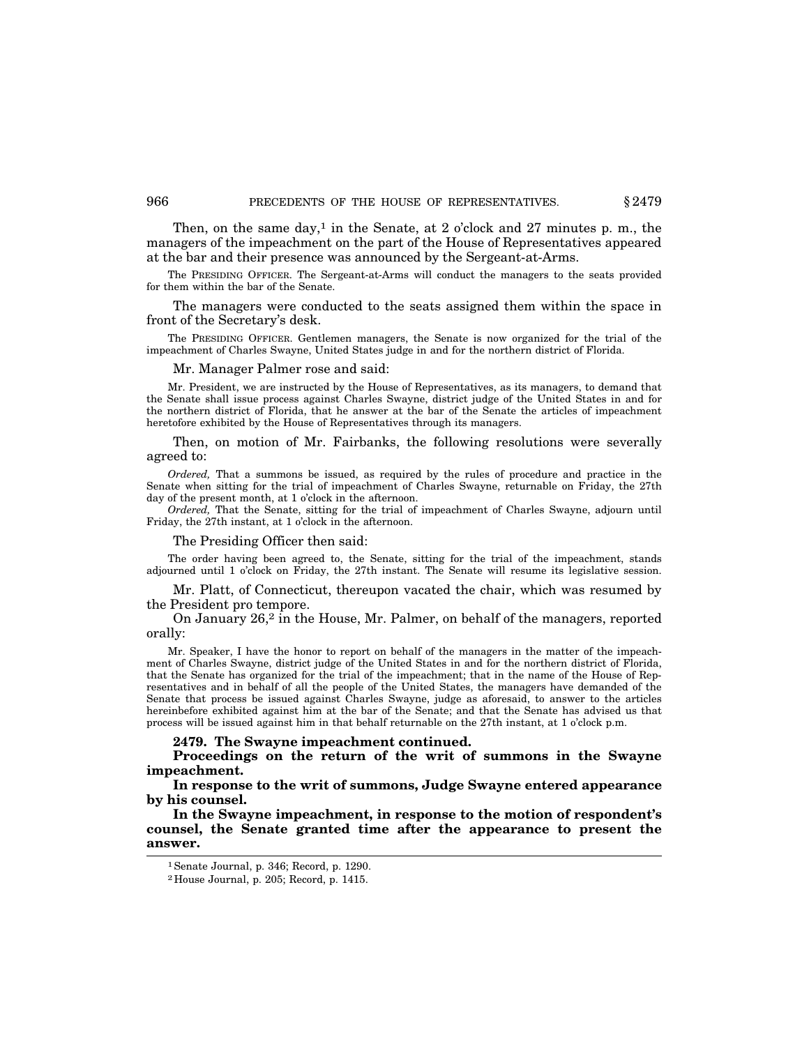Then, on the same day,<sup>1</sup> in the Senate, at 2 o'clock and 27 minutes p. m., the managers of the impeachment on the part of the House of Representatives appeared at the bar and their presence was announced by the Sergeant-at-Arms.

The PRESIDING OFFICER. The Sergeant-at-Arms will conduct the managers to the seats provided for them within the bar of the Senate.

The managers were conducted to the seats assigned them within the space in front of the Secretary's desk.

The PRESIDING OFFICER. Gentlemen managers, the Senate is now organized for the trial of the impeachment of Charles Swayne, United States judge in and for the northern district of Florida.

## Mr. Manager Palmer rose and said:

Mr. President, we are instructed by the House of Representatives, as its managers, to demand that the Senate shall issue process against Charles Swayne, district judge of the United States in and for the northern district of Florida, that he answer at the bar of the Senate the articles of impeachment heretofore exhibited by the House of Representatives through its managers.

Then, on motion of Mr. Fairbanks, the following resolutions were severally agreed to:

*Ordered,* That a summons be issued, as required by the rules of procedure and practice in the Senate when sitting for the trial of impeachment of Charles Swayne, returnable on Friday, the 27th day of the present month, at 1 o'clock in the afternoon.

*Ordered,* That the Senate, sitting for the trial of impeachment of Charles Swayne, adjourn until Friday, the 27th instant, at 1 o'clock in the afternoon.

#### The Presiding Officer then said:

The order having been agreed to, the Senate, sitting for the trial of the impeachment, stands adjourned until 1 o'clock on Friday, the 27th instant. The Senate will resume its legislative session.

Mr. Platt, of Connecticut, thereupon vacated the chair, which was resumed by the President pro tempore.

On January 26,2 in the House, Mr. Palmer, on behalf of the managers, reported orally:

Mr. Speaker, I have the honor to report on behalf of the managers in the matter of the impeachment of Charles Swayne, district judge of the United States in and for the northern district of Florida, that the Senate has organized for the trial of the impeachment; that in the name of the House of Representatives and in behalf of all the people of the United States, the managers have demanded of the Senate that process be issued against Charles Swayne, judge as aforesaid, to answer to the articles hereinbefore exhibited against him at the bar of the Senate; and that the Senate has advised us that process will be issued against him in that behalf returnable on the 27th instant, at 1 o'clock p.m.

#### **2479. The Swayne impeachment continued.**

**Proceedings on the return of the writ of summons in the Swayne impeachment.**

**In response to the writ of summons, Judge Swayne entered appearance by his counsel.**

**In the Swayne impeachment, in response to the motion of respondent's counsel, the Senate granted time after the appearance to present the answer.**

<sup>1</sup>Senate Journal, p. 346; Record, p. 1290.

<sup>2</sup> House Journal, p. 205; Record, p. 1415.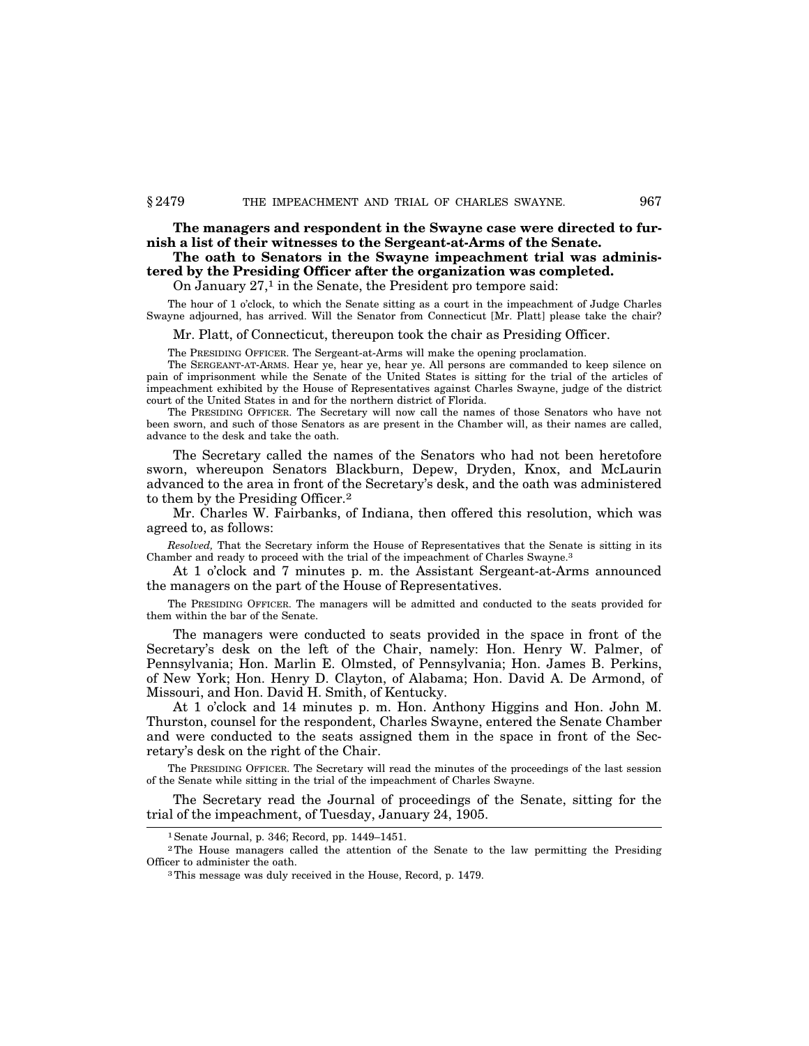**The managers and respondent in the Swayne case were directed to furnish a list of their witnesses to the Sergeant-at-Arms of the Senate.**

## **The oath to Senators in the Swayne impeachment trial was administered by the Presiding Officer after the organization was completed.**

On January  $27<sup>1</sup>$  in the Senate, the President pro tempore said:

The hour of 1 o'clock, to which the Senate sitting as a court in the impeachment of Judge Charles Swayne adjourned, has arrived. Will the Senator from Connecticut [Mr. Platt] please take the chair?

Mr. Platt, of Connecticut, thereupon took the chair as Presiding Officer.

The PRESIDING OFFICER. The Sergeant-at-Arms will make the opening proclamation.

The SERGEANT-AT-ARMS. Hear ye, hear ye, hear ye. All persons are commanded to keep silence on pain of imprisonment while the Senate of the United States is sitting for the trial of the articles of impeachment exhibited by the House of Representatives against Charles Swayne, judge of the district court of the United States in and for the northern district of Florida.

The PRESIDING OFFICER. The Secretary will now call the names of those Senators who have not been sworn, and such of those Senators as are present in the Chamber will, as their names are called, advance to the desk and take the oath.

The Secretary called the names of the Senators who had not been heretofore sworn, whereupon Senators Blackburn, Depew, Dryden, Knox, and McLaurin advanced to the area in front of the Secretary's desk, and the oath was administered to them by the Presiding Officer.2

Mr. Charles W. Fairbanks, of Indiana, then offered this resolution, which was agreed to, as follows:

*Resolved,* That the Secretary inform the House of Representatives that the Senate is sitting in its Chamber and ready to proceed with the trial of the impeachment of Charles Swayne.3

At 1 o'clock and 7 minutes p. m. the Assistant Sergeant-at-Arms announced the managers on the part of the House of Representatives.

The PRESIDING OFFICER. The managers will be admitted and conducted to the seats provided for them within the bar of the Senate.

The managers were conducted to seats provided in the space in front of the Secretary's desk on the left of the Chair, namely: Hon. Henry W. Palmer, of Pennsylvania; Hon. Marlin E. Olmsted, of Pennsylvania; Hon. James B. Perkins, of New York; Hon. Henry D. Clayton, of Alabama; Hon. David A. De Armond, of Missouri, and Hon. David H. Smith, of Kentucky.

At 1 o'clock and 14 minutes p. m. Hon. Anthony Higgins and Hon. John M. Thurston, counsel for the respondent, Charles Swayne, entered the Senate Chamber and were conducted to the seats assigned them in the space in front of the Secretary's desk on the right of the Chair.

The PRESIDING OFFICER. The Secretary will read the minutes of the proceedings of the last session of the Senate while sitting in the trial of the impeachment of Charles Swayne.

The Secretary read the Journal of proceedings of the Senate, sitting for the trial of the impeachment, of Tuesday, January 24, 1905.

<sup>1</sup>Senate Journal, p. 346; Record, pp. 1449–1451.

<sup>2</sup>The House managers called the attention of the Senate to the law permitting the Presiding Officer to administer the oath.

<sup>3</sup>This message was duly received in the House, Record, p. 1479.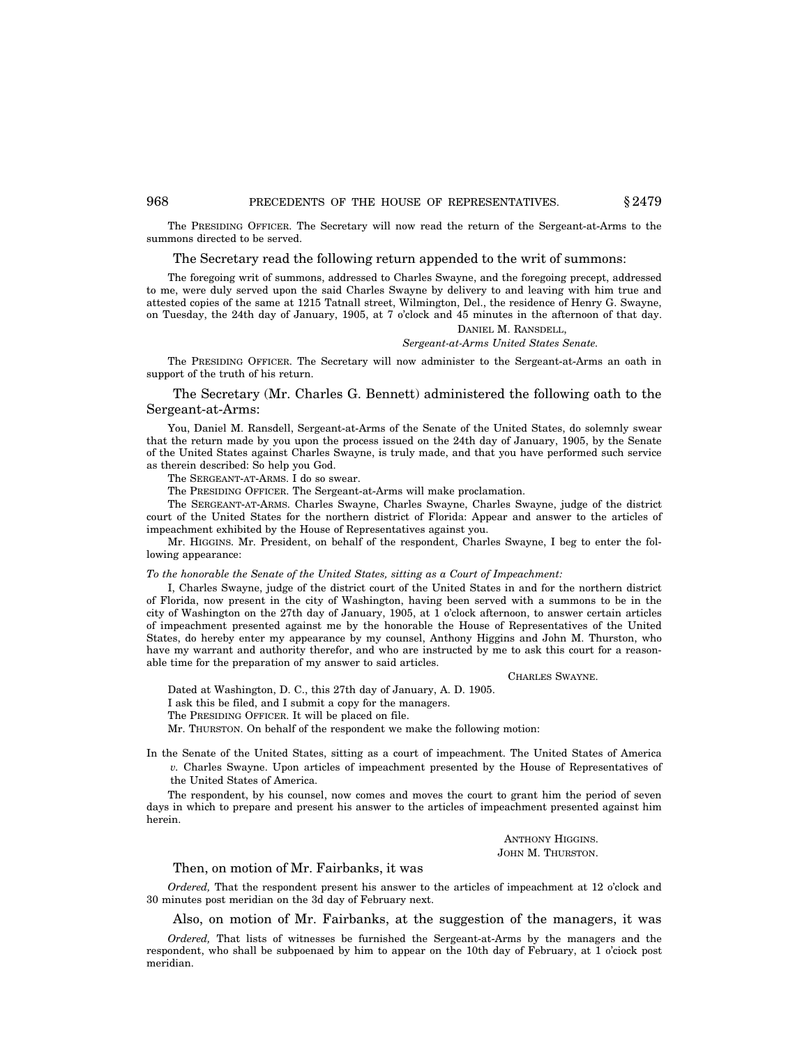#### 968 **PRECEDENTS OF THE HOUSE OF REPRESENTATIVES.**  $§ 2479$

The PRESIDING OFFICER. The Secretary will now read the return of the Sergeant-at-Arms to the summons directed to be served.

## The Secretary read the following return appended to the writ of summons:

The foregoing writ of summons, addressed to Charles Swayne, and the foregoing precept, addressed to me, were duly served upon the said Charles Swayne by delivery to and leaving with him true and attested copies of the same at 1215 Tatnall street, Wilmington, Del., the residence of Henry G. Swayne, on Tuesday, the 24th day of January, 1905, at 7 o'clock and 45 minutes in the afternoon of that day.

## DANIEL M. RANSDELL, *Sergeant-at-Arms United States Senate.*

The PRESIDING OFFICER. The Secretary will now administer to the Sergeant-at-Arms an oath in support of the truth of his return.

## The Secretary (Mr. Charles G. Bennett) administered the following oath to the Sergeant-at-Arms:

You, Daniel M. Ransdell, Sergeant-at-Arms of the Senate of the United States, do solemnly swear that the return made by you upon the process issued on the 24th day of January, 1905, by the Senate of the United States against Charles Swayne, is truly made, and that you have performed such service as therein described: So help you God.

The SERGEANT-AT-ARMS. I do so swear.

The PRESIDING OFFICER. The Sergeant-at-Arms will make proclamation.

The SERGEANT-AT-ARMS. Charles Swayne, Charles Swayne, Charles Swayne, judge of the district court of the United States for the northern district of Florida: Appear and answer to the articles of impeachment exhibited by the House of Representatives against you.

Mr. HIGGINS. Mr. President, on behalf of the respondent, Charles Swayne, I beg to enter the following appearance:

#### *To the honorable the Senate of the United States, sitting as a Court of Impeachment:*

I, Charles Swayne, judge of the district court of the United States in and for the northern district of Florida, now present in the city of Washington, having been served with a summons to be in the city of Washington on the 27th day of January, 1905, at 1 o'clock afternoon, to answer certain articles of impeachment presented against me by the honorable the House of Representatives of the United States, do hereby enter my appearance by my counsel, Anthony Higgins and John M. Thurston, who have my warrant and authority therefor, and who are instructed by me to ask this court for a reasonable time for the preparation of my answer to said articles.

#### CHARLES SWAYNE.

Dated at Washington, D. C., this 27th day of January, A. D. 1905.

I ask this be filed, and I submit a copy for the managers.

The PRESIDING OFFICER. It will be placed on file.

Mr. THURSTON. On behalf of the respondent we make the following motion:

In the Senate of the United States, sitting as a court of impeachment. The United States of America *v.* Charles Swayne. Upon articles of impeachment presented by the House of Representatives of the United States of America.

The respondent, by his counsel, now comes and moves the court to grant him the period of seven days in which to prepare and present his answer to the articles of impeachment presented against him herein.

> ANTHONY HIGGINS. JOHN M. THURSTON.

#### Then, on motion of Mr. Fairbanks, it was

*Ordered,* That the respondent present his answer to the articles of impeachment at 12 o'clock and 30 minutes post meridian on the 3d day of February next.

Also, on motion of Mr. Fairbanks, at the suggestion of the managers, it was

*Ordered,* That lists of witnesses be furnished the Sergeant-at-Arms by the managers and the respondent, who shall be subpoenaed by him to appear on the 10th day of February, at 1 o'ciock post meridian.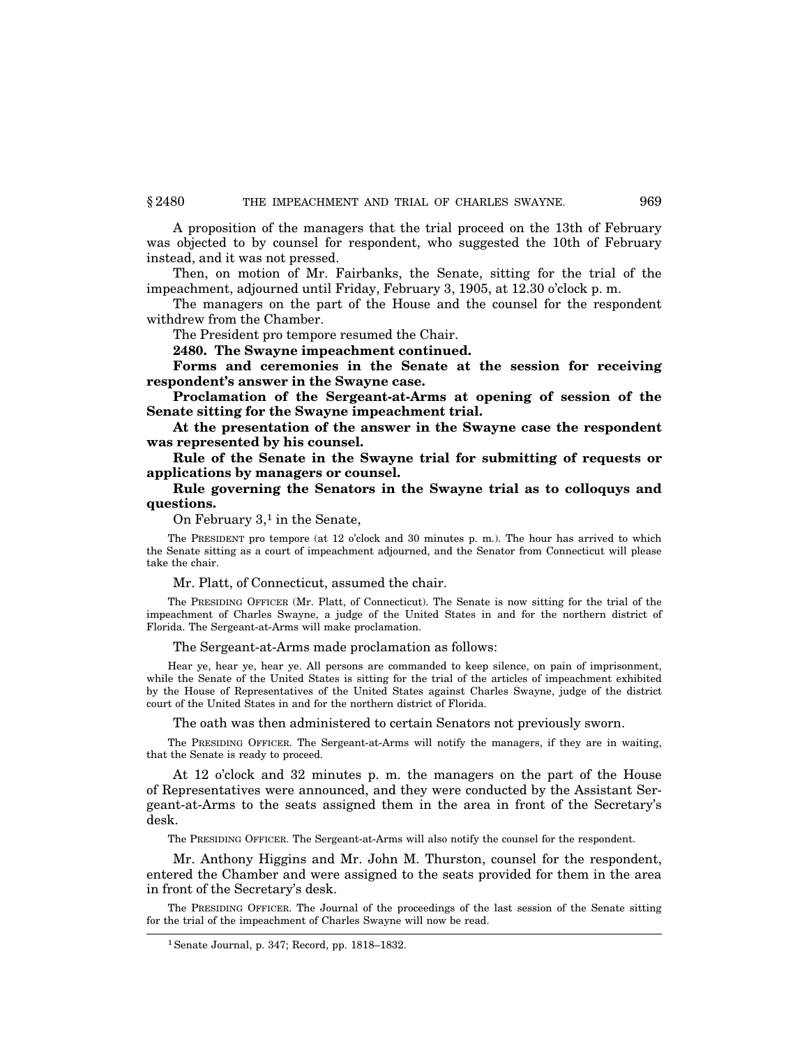A proposition of the managers that the trial proceed on the 13th of February was objected to by counsel for respondent, who suggested the 10th of February instead, and it was not pressed.

Then, on motion of Mr. Fairbanks, the Senate, sitting for the trial of the impeachment, adjourned until Friday, February 3, 1905, at 12.30 o'clock p. m.

The managers on the part of the House and the counsel for the respondent withdrew from the Chamber.

The President pro tempore resumed the Chair.

**2480. The Swayne impeachment continued.**

**Forms and ceremonies in the Senate at the session for receiving respondent's answer in the Swayne case.**

**Proclamation of the Sergeant-at-Arms at opening of session of the Senate sitting for the Swayne impeachment trial.**

**At the presentation of the answer in the Swayne case the respondent was represented by his counsel.**

**Rule of the Senate in the Swayne trial for submitting of requests or applications by managers or counsel.**

**Rule governing the Senators in the Swayne trial as to colloquys and questions.**

On February  $3<sup>1</sup>$  in the Senate,

The PRESIDENT pro tempore (at 12 o'clock and 30 minutes p. m.). The hour has arrived to which the Senate sitting as a court of impeachment adjourned, and the Senator from Connecticut will please take the chair.

Mr. Platt, of Connecticut, assumed the chair.

The PRESIDING OFFICER (Mr. Platt, of Connecticut). The Senate is now sitting for the trial of the impeachment of Charles Swayne, a judge of the United States in and for the northern district of Florida. The Sergeant-at-Arms will make proclamation.

The Sergeant-at-Arms made proclamation as follows:

Hear ye, hear ye, hear ye. All persons are commanded to keep silence, on pain of imprisonment, while the Senate of the United States is sitting for the trial of the articles of impeachment exhibited by the House of Representatives of the United States against Charles Swayne, judge of the district court of the United States in and for the northern district of Florida.

The oath was then administered to certain Senators not previously sworn.

The PRESIDING OFFICER. The Sergeant-at-Arms will notify the managers, if they are in waiting, that the Senate is ready to proceed.

At 12 o'clock and 32 minutes p. m. the managers on the part of the House of Representatives were announced, and they were conducted by the Assistant Sergeant-at-Arms to the seats assigned them in the area in front of the Secretary's desk.

The PRESIDING OFFICER. The Sergeant-at-Arms will also notify the counsel for the respondent.

Mr. Anthony Higgins and Mr. John M. Thurston, counsel for the respondent, entered the Chamber and were assigned to the seats provided for them in the area in front of the Secretary's desk.

The PRESIDING OFFICER. The Journal of the proceedings of the last session of the Senate sitting for the trial of the impeachment of Charles Swayne will now be read.

<sup>1</sup>Senate Journal, p. 347; Record, pp. 1818–1832.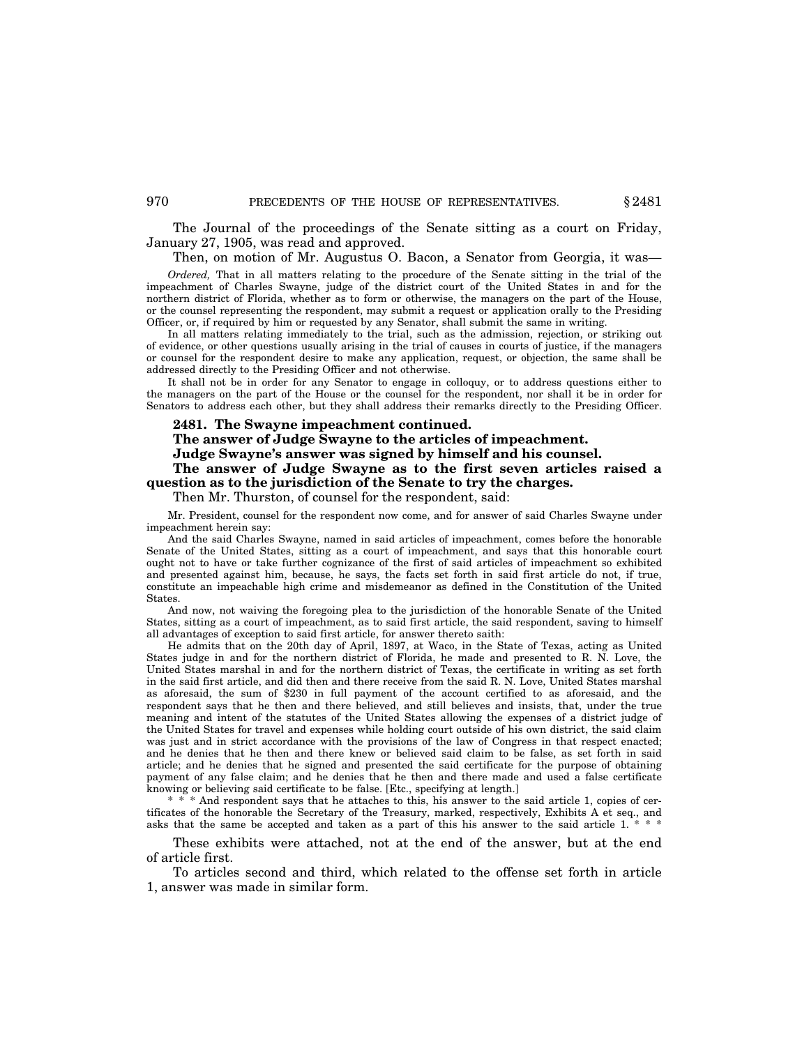The Journal of the proceedings of the Senate sitting as a court on Friday, January 27, 1905, was read and approved.

#### Then, on motion of Mr. Augustus O. Bacon, a Senator from Georgia, it was—

*Ordered,* That in all matters relating to the procedure of the Senate sitting in the trial of the impeachment of Charles Swayne, judge of the district court of the United States in and for the northern district of Florida, whether as to form or otherwise, the managers on the part of the House, or the counsel representing the respondent, may submit a request or application orally to the Presiding Officer, or, if required by him or requested by any Senator, shall submit the same in writing.

In all matters relating immediately to the trial, such as the admission, rejection, or striking out of evidence, or other questions usually arising in the trial of causes in courts of justice, if the managers or counsel for the respondent desire to make any application, request, or objection, the same shall be addressed directly to the Presiding Officer and not otherwise.

It shall not be in order for any Senator to engage in colloquy, or to address questions either to the managers on the part of the House or the counsel for the respondent, nor shall it be in order for Senators to address each other, but they shall address their remarks directly to the Presiding Officer.

#### **2481. The Swayne impeachment continued.**

**The answer of Judge Swayne to the articles of impeachment.**

**Judge Swayne's answer was signed by himself and his counsel.**

**The answer of Judge Swayne as to the first seven articles raised a question as to the jurisdiction of the Senate to try the charges.**

Then Mr. Thurston, of counsel for the respondent, said:

Mr. President, counsel for the respondent now come, and for answer of said Charles Swayne under impeachment herein say:

And the said Charles Swayne, named in said articles of impeachment, comes before the honorable Senate of the United States, sitting as a court of impeachment, and says that this honorable court ought not to have or take further cognizance of the first of said articles of impeachment so exhibited and presented against him, because, he says, the facts set forth in said first article do not, if true, constitute an impeachable high crime and misdemeanor as defined in the Constitution of the United States.

And now, not waiving the foregoing plea to the jurisdiction of the honorable Senate of the United States, sitting as a court of impeachment, as to said first article, the said respondent, saving to himself all advantages of exception to said first article, for answer thereto saith:

He admits that on the 20th day of April, 1897, at Waco, in the State of Texas, acting as United States judge in and for the northern district of Florida, he made and presented to R. N. Love, the United States marshal in and for the northern district of Texas, the certificate in writing as set forth in the said first article, and did then and there receive from the said R. N. Love, United States marshal as aforesaid, the sum of \$230 in full payment of the account certified to as aforesaid, and the respondent says that he then and there believed, and still believes and insists, that, under the true meaning and intent of the statutes of the United States allowing the expenses of a district judge of the United States for travel and expenses while holding court outside of his own district, the said claim was just and in strict accordance with the provisions of the law of Congress in that respect enacted; and he denies that he then and there knew or believed said claim to be false, as set forth in said article; and he denies that he signed and presented the said certificate for the purpose of obtaining payment of any false claim; and he denies that he then and there made and used a false certificate knowing or believing said certificate to be false. [Etc., specifying at length.]

\* \* \* And respondent says that he attaches to this, his answer to the said article 1, copies of certificates of the honorable the Secretary of the Treasury, marked, respectively, Exhibits A et seq., and asks that the same be accepted and taken as a part of this his answer to the said article 1. \*

These exhibits were attached, not at the end of the answer, but at the end of article first.

To articles second and third, which related to the offense set forth in article 1, answer was made in similar form.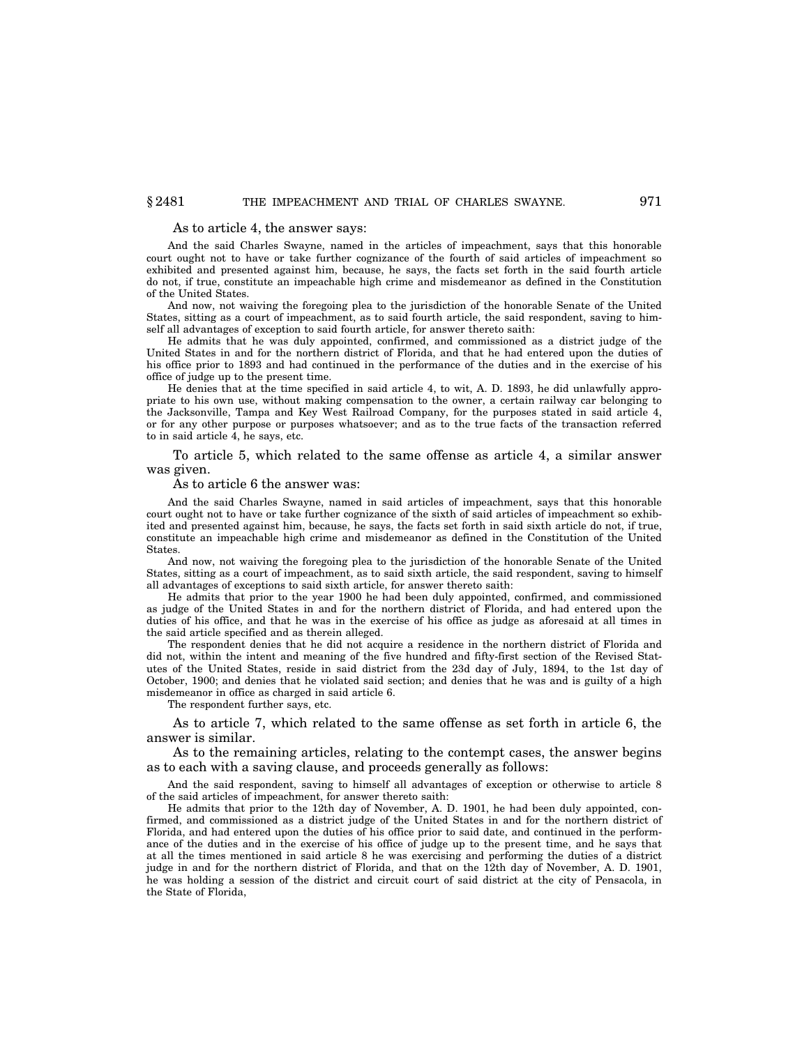#### As to article 4, the answer says:

And the said Charles Swayne, named in the articles of impeachment, says that this honorable court ought not to have or take further cognizance of the fourth of said articles of impeachment so exhibited and presented against him, because, he says, the facts set forth in the said fourth article do not, if true, constitute an impeachable high crime and misdemeanor as defined in the Constitution of the United States.

And now, not waiving the foregoing plea to the jurisdiction of the honorable Senate of the United States, sitting as a court of impeachment, as to said fourth article, the said respondent, saving to himself all advantages of exception to said fourth article, for answer thereto saith:

He admits that he was duly appointed, confirmed, and commissioned as a district judge of the United States in and for the northern district of Florida, and that he had entered upon the duties of his office prior to 1893 and had continued in the performance of the duties and in the exercise of his office of judge up to the present time.

He denies that at the time specified in said article 4, to wit, A. D. 1893, he did unlawfully appropriate to his own use, without making compensation to the owner, a certain railway car belonging to the Jacksonville, Tampa and Key West Railroad Company, for the purposes stated in said article 4, or for any other purpose or purposes whatsoever; and as to the true facts of the transaction referred to in said article 4, he says, etc.

To article 5, which related to the same offense as article 4, a similar answer was given.

#### As to article 6 the answer was:

And the said Charles Swayne, named in said articles of impeachment, says that this honorable court ought not to have or take further cognizance of the sixth of said articles of impeachment so exhibited and presented against him, because, he says, the facts set forth in said sixth article do not, if true, constitute an impeachable high crime and misdemeanor as defined in the Constitution of the United **States**.

And now, not waiving the foregoing plea to the jurisdiction of the honorable Senate of the United States, sitting as a court of impeachment, as to said sixth article, the said respondent, saving to himself all advantages of exceptions to said sixth article, for answer thereto saith:

He admits that prior to the year 1900 he had been duly appointed, confirmed, and commissioned as judge of the United States in and for the northern district of Florida, and had entered upon the duties of his office, and that he was in the exercise of his office as judge as aforesaid at all times in the said article specified and as therein alleged.

The respondent denies that he did not acquire a residence in the northern district of Florida and did not, within the intent and meaning of the five hundred and fifty-first section of the Revised Statutes of the United States, reside in said district from the 23d day of July, 1894, to the 1st day of October, 1900; and denies that he violated said section; and denies that he was and is guilty of a high misdemeanor in office as charged in said article 6.

The respondent further says, etc.

As to article 7, which related to the same offense as set forth in article 6, the answer is similar.

As to the remaining articles, relating to the contempt cases, the answer begins as to each with a saving clause, and proceeds generally as follows:

And the said respondent, saving to himself all advantages of exception or otherwise to article 8 of the said articles of impeachment, for answer thereto saith:

He admits that prior to the 12th day of November, A. D. 1901, he had been duly appointed, confirmed, and commissioned as a district judge of the United States in and for the northern district of Florida, and had entered upon the duties of his office prior to said date, and continued in the performance of the duties and in the exercise of his office of judge up to the present time, and he says that at all the times mentioned in said article 8 he was exercising and performing the duties of a district judge in and for the northern district of Florida, and that on the 12th day of November, A. D. 1901, he was holding a session of the district and circuit court of said district at the city of Pensacola, in the State of Florida,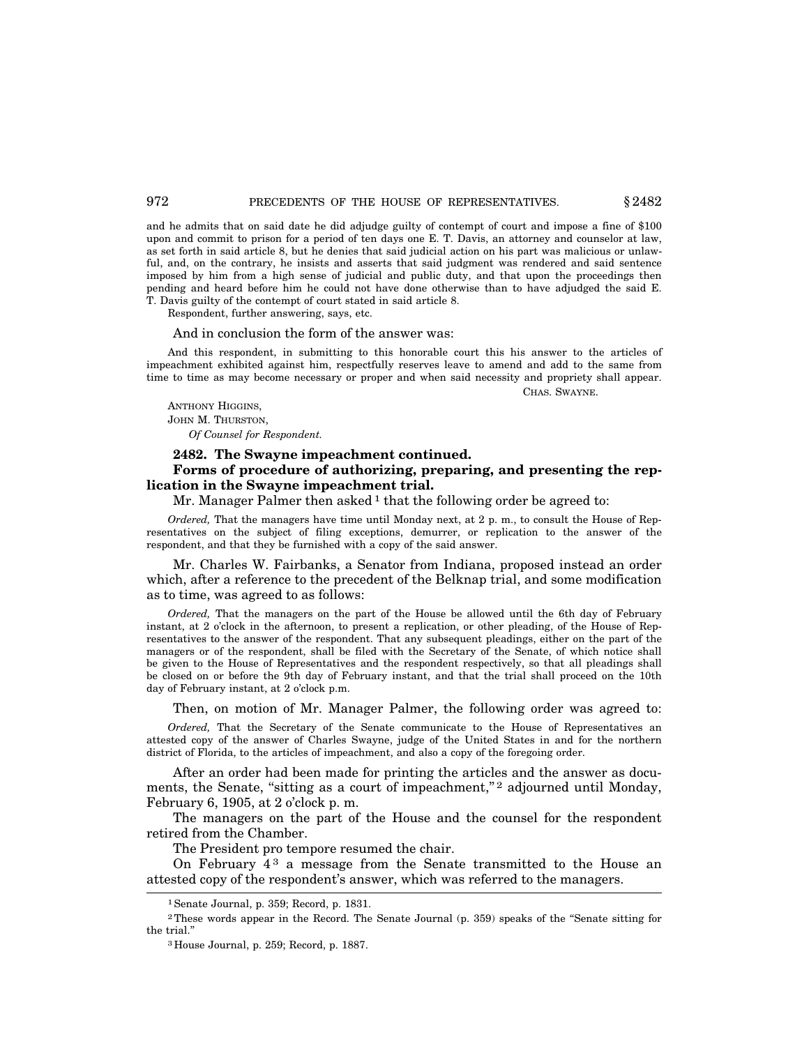and he admits that on said date he did adjudge guilty of contempt of court and impose a fine of \$100 upon and commit to prison for a period of ten days one E. T. Davis, an attorney and counselor at law, as set forth in said article 8, but he denies that said judicial action on his part was malicious or unlawful, and, on the contrary, he insists and asserts that said judgment was rendered and said sentence imposed by him from a high sense of judicial and public duty, and that upon the proceedings then pending and heard before him he could not have done otherwise than to have adjudged the said E. T. Davis guilty of the contempt of court stated in said article 8.

Respondent, further answering, says, etc.

#### And in conclusion the form of the answer was:

And this respondent, in submitting to this honorable court this his answer to the articles of impeachment exhibited against him, respectfully reserves leave to amend and add to the same from time to time as may become necessary or proper and when said necessity and propriety shall appear.

ANTHONY HIGGINS, JOHN M. THURSTON,

*Of Counsel for Respondent.*

## **2482. The Swayne impeachment continued.**

## **Forms of procedure of authorizing, preparing, and presenting the replication in the Swayne impeachment trial.**

Mr. Manager Palmer then asked <sup>1</sup> that the following order be agreed to:

*Ordered,* That the managers have time until Monday next, at 2 p. m., to consult the House of Representatives on the subject of filing exceptions, demurrer, or replication to the answer of the respondent, and that they be furnished with a copy of the said answer.

Mr. Charles W. Fairbanks, a Senator from Indiana, proposed instead an order which, after a reference to the precedent of the Belknap trial, and some modification as to time, was agreed to as follows:

*Ordered,* That the managers on the part of the House be allowed until the 6th day of February instant, at 2 o'clock in the afternoon, to present a replication, or other pleading, of the House of Representatives to the answer of the respondent. That any subsequent pleadings, either on the part of the managers or of the respondent, shall be filed with the Secretary of the Senate, of which notice shall be given to the House of Representatives and the respondent respectively, so that all pleadings shall be closed on or before the 9th day of February instant, and that the trial shall proceed on the 10th day of February instant, at 2 o'clock p.m.

Then, on motion of Mr. Manager Palmer, the following order was agreed to:

*Ordered,* That the Secretary of the Senate communicate to the House of Representatives an attested copy of the answer of Charles Swayne, judge of the United States in and for the northern district of Florida, to the articles of impeachment, and also a copy of the foregoing order.

After an order had been made for printing the articles and the answer as documents, the Senate, "sitting as a court of impeachment,"<sup>2</sup> adjourned until Monday, February 6, 1905, at 2 o'clock p. m.

The managers on the part of the House and the counsel for the respondent retired from the Chamber.

The President pro tempore resumed the chair.

On February  $4<sup>3</sup>$  a message from the Senate transmitted to the House an attested copy of the respondent's answer, which was referred to the managers.

CHAS. SWAYNE.

<sup>1</sup>Senate Journal, p. 359; Record, p. 1831.

<sup>&</sup>lt;sup>2</sup>These words appear in the Record. The Senate Journal (p. 359) speaks of the "Senate sitting for the trial.''

<sup>3</sup> House Journal, p. 259; Record, p. 1887.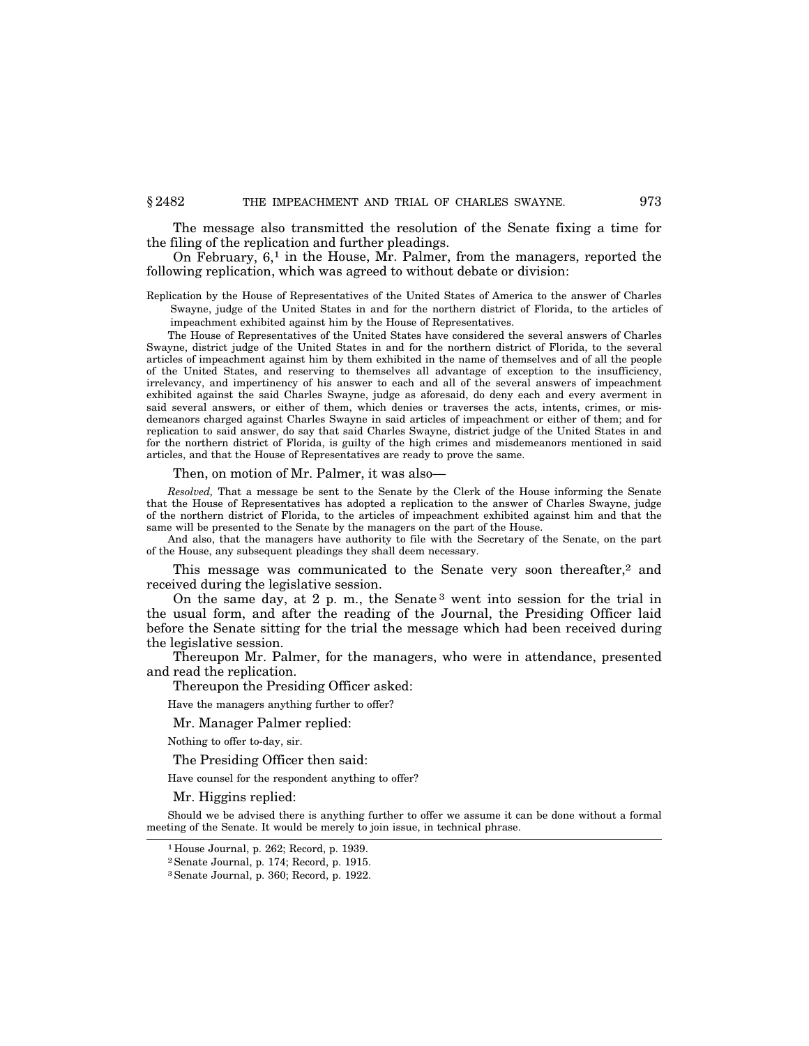The message also transmitted the resolution of the Senate fixing a time for the filing of the replication and further pleadings.

On February,  $6<sup>1</sup>$  in the House, Mr. Palmer, from the managers, reported the following replication, which was agreed to without debate or division:

Replication by the House of Representatives of the United States of America to the answer of Charles Swayne, judge of the United States in and for the northern district of Florida, to the articles of impeachment exhibited against him by the House of Representatives.

The House of Representatives of the United States have considered the several answers of Charles Swayne, district judge of the United States in and for the northern district of Florida, to the several articles of impeachment against him by them exhibited in the name of themselves and of all the people of the United States, and reserving to themselves all advantage of exception to the insufficiency, irrelevancy, and impertinency of his answer to each and all of the several answers of impeachment exhibited against the said Charles Swayne, judge as aforesaid, do deny each and every averment in said several answers, or either of them, which denies or traverses the acts, intents, crimes, or misdemeanors charged against Charles Swayne in said articles of impeachment or either of them; and for replication to said answer, do say that said Charles Swayne, district judge of the United States in and for the northern district of Florida, is guilty of the high crimes and misdemeanors mentioned in said articles, and that the House of Representatives are ready to prove the same.

Then, on motion of Mr. Palmer, it was also—

*Resolved,* That a message be sent to the Senate by the Clerk of the House informing the Senate that the House of Representatives has adopted a replication to the answer of Charles Swayne, judge of the northern district of Florida, to the articles of impeachment exhibited against him and that the same will be presented to the Senate by the managers on the part of the House.

And also, that the managers have authority to file with the Secretary of the Senate, on the part of the House, any subsequent pleadings they shall deem necessary.

This message was communicated to the Senate very soon thereafter,<sup>2</sup> and received during the legislative session.

On the same day, at 2 p. m., the Senate 3 went into session for the trial in the usual form, and after the reading of the Journal, the Presiding Officer laid before the Senate sitting for the trial the message which had been received during the legislative session.

Thereupon Mr. Palmer, for the managers, who were in attendance, presented and read the replication.

Thereupon the Presiding Officer asked:

Have the managers anything further to offer?

Mr. Manager Palmer replied:

Nothing to offer to-day, sir.

The Presiding Officer then said:

Have counsel for the respondent anything to offer?

Mr. Higgins replied:

Should we be advised there is anything further to offer we assume it can be done without a formal meeting of the Senate. It would be merely to join issue, in technical phrase.

<sup>1</sup> House Journal, p. 262; Record, p. 1939.

<sup>2</sup>Senate Journal, p. 174; Record, p. 1915.

<sup>3</sup>Senate Journal, p. 360; Record, p. 1922.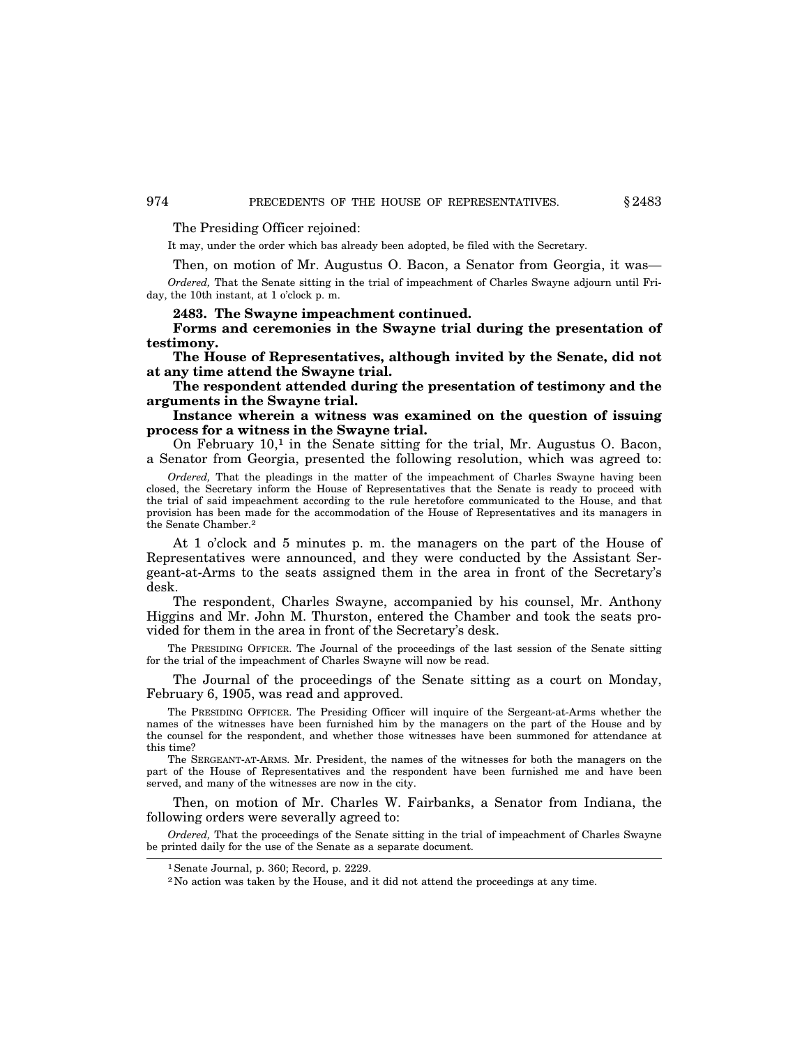The Presiding Officer rejoined:

It may, under the order which bas already been adopted, be filed with the Secretary.

Then, on motion of Mr. Augustus O. Bacon, a Senator from Georgia, it was—

*Ordered,* That the Senate sitting in the trial of impeachment of Charles Swayne adjourn until Friday, the 10th instant, at 1 o'clock p. m.

## **2483. The Swayne impeachment continued.**

**Forms and ceremonies in the Swayne trial during the presentation of testimony.**

**The House of Representatives, although invited by the Senate, did not at any time attend the Swayne trial.**

**The respondent attended during the presentation of testimony and the arguments in the Swayne trial.**

**Instance wherein a witness was examined on the question of issuing process for a witness in the Swayne trial.**

On February  $10<sup>1</sup>$  in the Senate sitting for the trial, Mr. Augustus O. Bacon, a Senator from Georgia, presented the following resolution, which was agreed to:

*Ordered,* That the pleadings in the matter of the impeachment of Charles Swayne having been closed, the Secretary inform the House of Representatives that the Senate is ready to proceed with the trial of said impeachment according to the rule heretofore communicated to the House, and that provision has been made for the accommodation of the House of Representatives and its managers in the Senate Chamber.2

At 1 o'clock and 5 minutes p. m. the managers on the part of the House of Representatives were announced, and they were conducted by the Assistant Sergeant-at-Arms to the seats assigned them in the area in front of the Secretary's desk.

The respondent, Charles Swayne, accompanied by his counsel, Mr. Anthony Higgins and Mr. John M. Thurston, entered the Chamber and took the seats provided for them in the area in front of the Secretary's desk.

The PRESIDING OFFICER. The Journal of the proceedings of the last session of the Senate sitting for the trial of the impeachment of Charles Swayne will now be read.

The Journal of the proceedings of the Senate sitting as a court on Monday, February 6, 1905, was read and approved.

The PRESIDING OFFICER. The Presiding Officer will inquire of the Sergeant-at-Arms whether the names of the witnesses have been furnished him by the managers on the part of the House and by the counsel for the respondent, and whether those witnesses have been summoned for attendance at this time?

The SERGEANT-AT-ARMS. Mr. President, the names of the witnesses for both the managers on the part of the House of Representatives and the respondent have been furnished me and have been served, and many of the witnesses are now in the city.

Then, on motion of Mr. Charles W. Fairbanks, a Senator from Indiana, the following orders were severally agreed to:

*Ordered,* That the proceedings of the Senate sitting in the trial of impeachment of Charles Swayne be printed daily for the use of the Senate as a separate document.

<sup>1</sup>Senate Journal, p. 360; Record, p. 2229.

<sup>2</sup> No action was taken by the House, and it did not attend the proceedings at any time.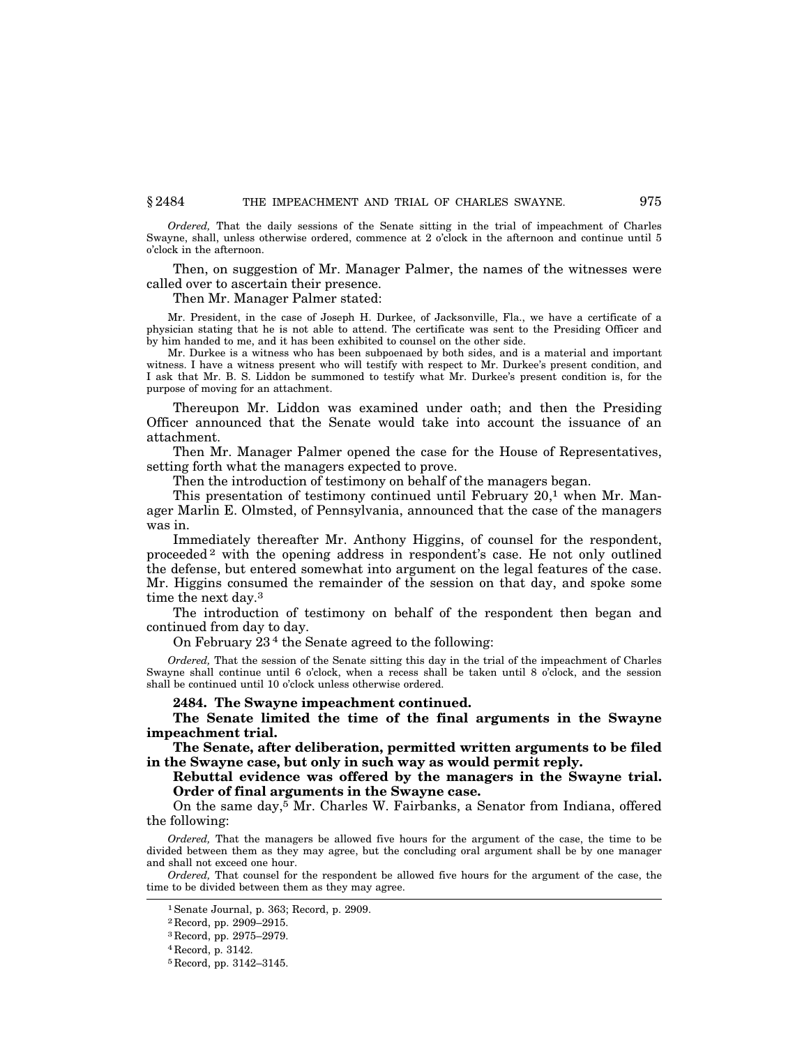*Ordered,* That the daily sessions of the Senate sitting in the trial of impeachment of Charles Swayne, shall, unless otherwise ordered, commence at 2 o'clock in the afternoon and continue until 5 o'clock in the afternoon.

Then, on suggestion of Mr. Manager Palmer, the names of the witnesses were called over to ascertain their presence.

## Then Mr. Manager Palmer stated:

Mr. President, in the case of Joseph H. Durkee, of Jacksonville, Fla., we have a certificate of a physician stating that he is not able to attend. The certificate was sent to the Presiding Officer and by him handed to me, and it has been exhibited to counsel on the other side.

Mr. Durkee is a witness who has been subpoenaed by both sides, and is a material and important witness. I have a witness present who will testify with respect to Mr. Durkee's present condition, and I ask that Mr. B. S. Liddon be summoned to testify what Mr. Durkee's present condition is, for the purpose of moving for an attachment.

Thereupon Mr. Liddon was examined under oath; and then the Presiding Officer announced that the Senate would take into account the issuance of an attachment.

Then Mr. Manager Palmer opened the case for the House of Representatives, setting forth what the managers expected to prove.

Then the introduction of testimony on behalf of the managers began.

This presentation of testimony continued until February  $20<sup>1</sup>$  when Mr. Manager Marlin E. Olmsted, of Pennsylvania, announced that the case of the managers was in.

Immediately thereafter Mr. Anthony Higgins, of counsel for the respondent, proceeded 2 with the opening address in respondent's case. He not only outlined the defense, but entered somewhat into argument on the legal features of the case. Mr. Higgins consumed the remainder of the session on that day, and spoke some time the next day.3

The introduction of testimony on behalf of the respondent then began and continued from day to day.

On February 23 4 the Senate agreed to the following:

*Ordered,* That the session of the Senate sitting this day in the trial of the impeachment of Charles Swayne shall continue until 6 o'clock, when a recess shall be taken until 8 o'clock, and the session shall be continued until 10 o'clock unless otherwise ordered.

#### **2484. The Swayne impeachment continued.**

**The Senate limited the time of the final arguments in the Swayne impeachment trial.**

**The Senate, after deliberation, permitted written arguments to be filed in the Swayne case, but only in such way as would permit reply.**

**Rebuttal evidence was offered by the managers in the Swayne trial. Order of final arguments in the Swayne case.**

On the same day,5 Mr. Charles W. Fairbanks, a Senator from Indiana, offered the following:

*Ordered*, That the managers be allowed five hours for the argument of the case, the time to be divided between them as they may agree, but the concluding oral argument shall be by one manager and shall not exceed one hour.

*Ordered,* That counsel for the respondent be allowed five hours for the argument of the case, the time to be divided between them as they may agree.

<sup>1</sup>Senate Journal, p. 363; Record, p. 2909.

<sup>2</sup> Record, pp. 2909–2915.

<sup>3</sup> Record, pp. 2975–2979.

<sup>4</sup> Record, p. 3142.

<sup>5</sup> Record, pp. 3142–3145.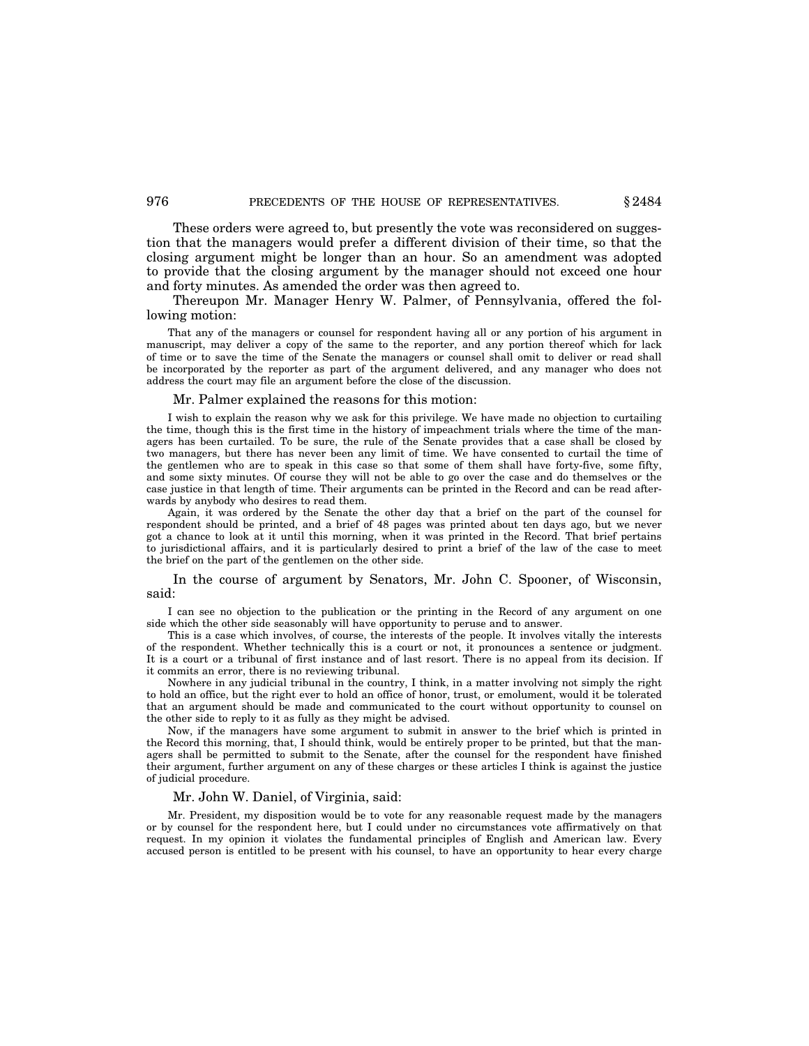These orders were agreed to, but presently the vote was reconsidered on suggestion that the managers would prefer a different division of their time, so that the closing argument might be longer than an hour. So an amendment was adopted to provide that the closing argument by the manager should not exceed one hour and forty minutes. As amended the order was then agreed to.

Thereupon Mr. Manager Henry W. Palmer, of Pennsylvania, offered the following motion:

That any of the managers or counsel for respondent having all or any portion of his argument in manuscript, may deliver a copy of the same to the reporter, and any portion thereof which for lack of time or to save the time of the Senate the managers or counsel shall omit to deliver or read shall be incorporated by the reporter as part of the argument delivered, and any manager who does not address the court may file an argument before the close of the discussion.

#### Mr. Palmer explained the reasons for this motion:

I wish to explain the reason why we ask for this privilege. We have made no objection to curtailing the time, though this is the first time in the history of impeachment trials where the time of the managers has been curtailed. To be sure, the rule of the Senate provides that a case shall be closed by two managers, but there has never been any limit of time. We have consented to curtail the time of the gentlemen who are to speak in this case so that some of them shall have forty-five, some fifty, and some sixty minutes. Of course they will not be able to go over the case and do themselves or the case justice in that length of time. Their arguments can be printed in the Record and can be read afterwards by anybody who desires to read them.

Again, it was ordered by the Senate the other day that a brief on the part of the counsel for respondent should be printed, and a brief of 48 pages was printed about ten days ago, but we never got a chance to look at it until this morning, when it was printed in the Record. That brief pertains to jurisdictional affairs, and it is particularly desired to print a brief of the law of the case to meet the brief on the part of the gentlemen on the other side.

In the course of argument by Senators, Mr. John C. Spooner, of Wisconsin, said:

I can see no objection to the publication or the printing in the Record of any argument on one side which the other side seasonably will have opportunity to peruse and to answer.

This is a case which involves, of course, the interests of the people. It involves vitally the interests of the respondent. Whether technically this is a court or not, it pronounces a sentence or judgment. It is a court or a tribunal of first instance and of last resort. There is no appeal from its decision. If it commits an error, there is no reviewing tribunal.

Nowhere in any judicial tribunal in the country, I think, in a matter involving not simply the right to hold an office, but the right ever to hold an office of honor, trust, or emolument, would it be tolerated that an argument should be made and communicated to the court without opportunity to counsel on the other side to reply to it as fully as they might be advised.

Now, if the managers have some argument to submit in answer to the brief which is printed in the Record this morning, that, I should think, would be entirely proper to be printed, but that the managers shall be permitted to submit to the Senate, after the counsel for the respondent have finished their argument, further argument on any of these charges or these articles I think is against the justice of judicial procedure.

## Mr. John W. Daniel, of Virginia, said:

Mr. President, my disposition would be to vote for any reasonable request made by the managers or by counsel for the respondent here, but I could under no circumstances vote affirmatively on that request. In my opinion it violates the fundamental principles of English and American law. Every accused person is entitled to be present with his counsel, to have an opportunity to hear every charge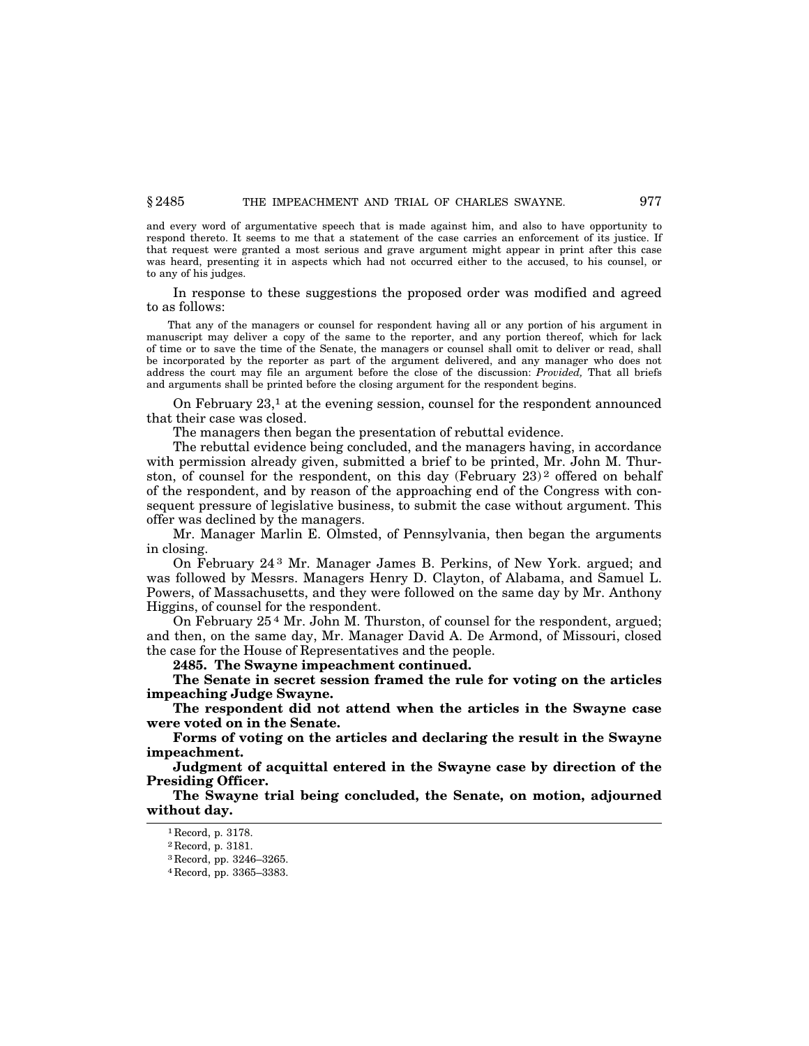and every word of argumentative speech that is made against him, and also to have opportunity to respond thereto. It seems to me that a statement of the case carries an enforcement of its justice. If that request were granted a most serious and grave argument might appear in print after this case was heard, presenting it in aspects which had not occurred either to the accused, to his counsel, or to any of his judges.

In response to these suggestions the proposed order was modified and agreed to as follows:

That any of the managers or counsel for respondent having all or any portion of his argument in manuscript may deliver a copy of the same to the reporter, and any portion thereof, which for lack of time or to save the time of the Senate, the managers or counsel shall omit to deliver or read, shall be incorporated by the reporter as part of the argument delivered, and any manager who does not address the court may file an argument before the close of the discussion: *Provided,* That all briefs and arguments shall be printed before the closing argument for the respondent begins.

On February  $23<sup>1</sup>$  at the evening session, counsel for the respondent announced that their case was closed.

The managers then began the presentation of rebuttal evidence.

The rebuttal evidence being concluded, and the managers having, in accordance with permission already given, submitted a brief to be printed, Mr. John M. Thurston, of counsel for the respondent, on this day (February  $23$ )<sup>2</sup> offered on behalf of the respondent, and by reason of the approaching end of the Congress with consequent pressure of legislative business, to submit the case without argument. This offer was declined by the managers.

Mr. Manager Marlin E. Olmsted, of Pennsylvania, then began the arguments in closing.

On February 24 3 Mr. Manager James B. Perkins, of New York. argued; and was followed by Messrs. Managers Henry D. Clayton, of Alabama, and Samuel L. Powers, of Massachusetts, and they were followed on the same day by Mr. Anthony Higgins, of counsel for the respondent.

On February 25 4 Mr. John M. Thurston, of counsel for the respondent, argued; and then, on the same day, Mr. Manager David A. De Armond, of Missouri, closed the case for the House of Representatives and the people.

**2485. The Swayne impeachment continued.**

**The Senate in secret session framed the rule for voting on the articles impeaching Judge Swayne.**

**The respondent did not attend when the articles in the Swayne case were voted on in the Senate.**

**Forms of voting on the articles and declaring the result in the Swayne impeachment.**

**Judgment of acquittal entered in the Swayne case by direction of the Presiding Officer.**

**The Swayne trial being concluded, the Senate, on motion, adjourned without day.**

<sup>1</sup> Record, p. 3178.

<sup>2</sup> Record, p. 3181.

<sup>3</sup> Record, pp. 3246–3265.

<sup>4</sup> Record, pp. 3365–3383.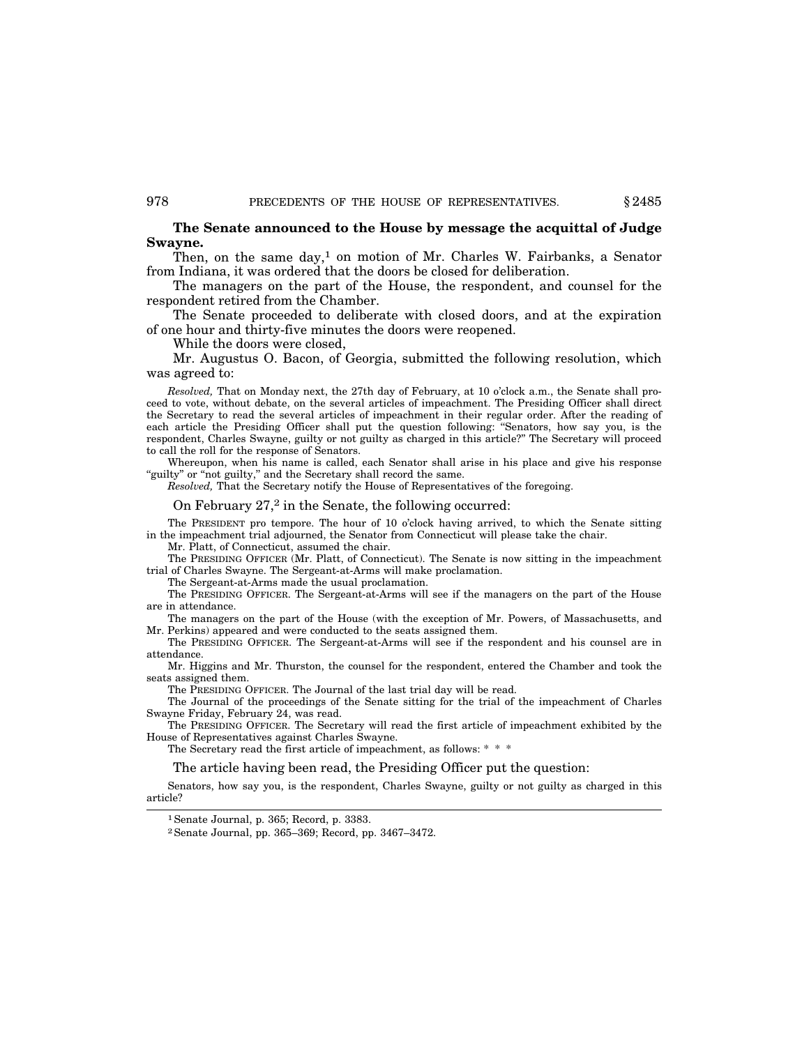## **The Senate announced to the House by message the acquittal of Judge Swayne.**

Then, on the same day,<sup>1</sup> on motion of Mr. Charles W. Fairbanks, a Senator from Indiana, it was ordered that the doors be closed for deliberation.

The managers on the part of the House, the respondent, and counsel for the respondent retired from the Chamber.

The Senate proceeded to deliberate with closed doors, and at the expiration of one hour and thirty-five minutes the doors were reopened.

While the doors were closed,

Mr. Augustus O. Bacon, of Georgia, submitted the following resolution, which was agreed to:

*Resolved,* That on Monday next, the 27th day of February, at 10 o'clock a.m., the Senate shall proceed to vote, without debate, on the several articles of impeachment. The Presiding Officer shall direct the Secretary to read the several articles of impeachment in their regular order. After the reading of each article the Presiding Officer shall put the question following: ''Senators, how say you, is the respondent, Charles Swayne, guilty or not guilty as charged in this article?'' The Secretary will proceed to call the roll for the response of Senators.

Whereupon, when his name is called, each Senator shall arise in his place and give his response "guilty" or "not guilty," and the Secretary shall record the same.

*Resolved,* That the Secretary notify the House of Representatives of the foregoing.

On February 27,<sup>2</sup> in the Senate, the following occurred:

The PRESIDENT pro tempore. The hour of 10 o'clock having arrived, to which the Senate sitting in the impeachment trial adjourned, the Senator from Connecticut will please take the chair.

Mr. Platt, of Connecticut, assumed the chair.

The PRESIDING OFFICER (Mr. Platt, of Connecticut). The Senate is now sitting in the impeachment trial of Charles Swayne. The Sergeant-at-Arms will make proclamation.

The Sergeant-at-Arms made the usual proclamation.

The PRESIDING OFFICER. The Sergeant-at-Arms will see if the managers on the part of the House are in attendance.

The managers on the part of the House (with the exception of Mr. Powers, of Massachusetts, and Mr. Perkins) appeared and were conducted to the seats assigned them.

The PRESIDING OFFICER. The Sergeant-at-Arms will see if the respondent and his counsel are in attendance.

Mr. Higgins and Mr. Thurston, the counsel for the respondent, entered the Chamber and took the seats assigned them.

The PRESIDING OFFICER. The Journal of the last trial day will be read.

The Journal of the proceedings of the Senate sitting for the trial of the impeachment of Charles Swayne Friday, February 24, was read.

The PRESIDING OFFICER. The Secretary will read the first article of impeachment exhibited by the House of Representatives against Charles Swayne.

The Secretary read the first article of impeachment, as follows: \* \* \*

The article having been read, the Presiding Officer put the question:

Senators, how say you, is the respondent, Charles Swayne, guilty or not guilty as charged in this article?

<sup>1</sup>Senate Journal, p. 365; Record, p. 3383.

<sup>2</sup>Senate Journal, pp. 365–369; Record, pp. 3467–3472.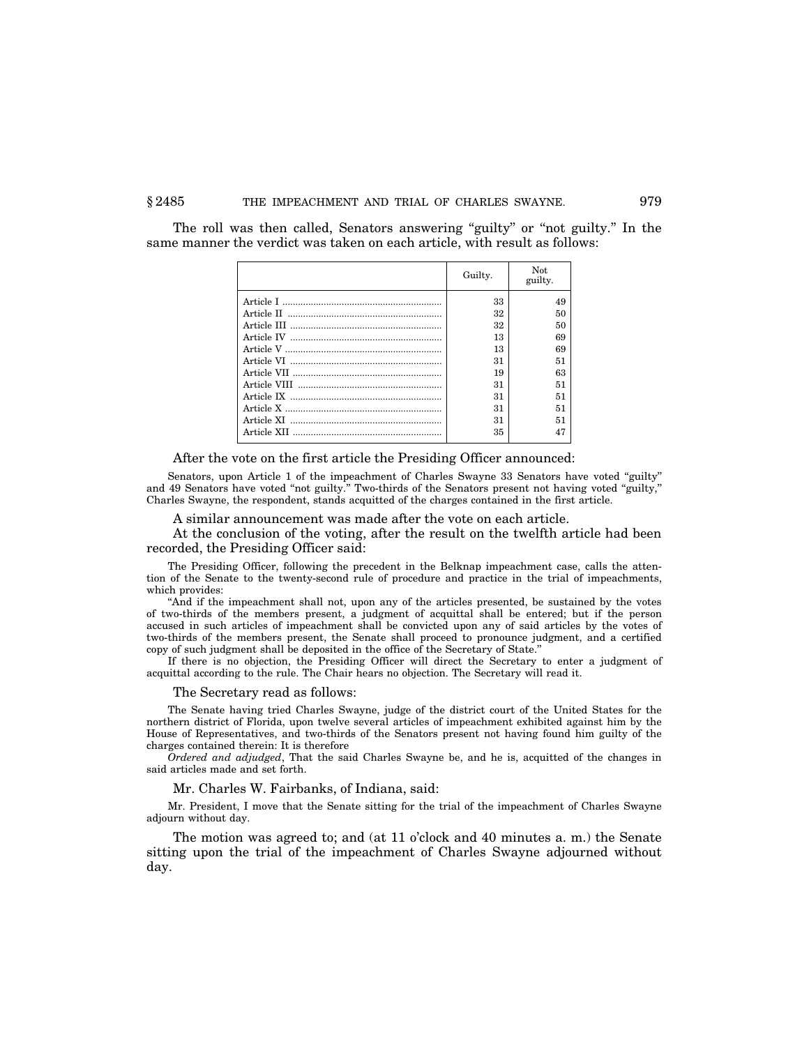The roll was then called, Senators answering "guilty" or "not guilty." In the same manner the verdict was taken on each article, with result as follows:

| Guilty. | Not.<br>guilty. |
|---------|-----------------|
| 33      | 49              |
| 32      | 50              |
| 32      | 50              |
| 13      | 69              |
| 13      | 69              |
| 31      | 51              |
| 19      | 63              |
| 31      | 51              |
| 31      | 51              |
| 31      | 51              |
| 31      | 51              |
| 35      | 47              |

After the vote on the first article the Presiding Officer announced:

Senators, upon Article 1 of the impeachment of Charles Swayne 33 Senators have voted ''guilty'' and 49 Senators have voted "not guilty." Two-thirds of the Senators present not having voted "guilty," Charles Swayne, the respondent, stands acquitted of the charges contained in the first article.

A similar announcement was made after the vote on each article.

At the conclusion of the voting, after the result on the twelfth article had been recorded, the Presiding Officer said:

The Presiding Officer, following the precedent in the Belknap impeachment case, calls the attention of the Senate to the twenty-second rule of procedure and practice in the trial of impeachments, which provides:

''And if the impeachment shall not, upon any of the articles presented, be sustained by the votes of two-thirds of the members present, a judgment of acquittal shall be entered; but if the person accused in such articles of impeachment shall be convicted upon any of said articles by the votes of two-thirds of the members present, the Senate shall proceed to pronounce judgment, and a certified copy of such judgment shall be deposited in the office of the Secretary of State.''

If there is no objection, the Presiding Officer will direct the Secretary to enter a judgment of acquittal according to the rule. The Chair hears no objection. The Secretary will read it.

The Secretary read as follows:

The Senate having tried Charles Swayne, judge of the district court of the United States for the northern district of Florida, upon twelve several articles of impeachment exhibited against him by the House of Representatives, and two-thirds of the Senators present not having found him guilty of the charges contained therein: It is therefore

*Ordered and adjudged*, That the said Charles Swayne be, and he is, acquitted of the changes in said articles made and set forth.

Mr. Charles W. Fairbanks, of Indiana, said:

Mr. President, I move that the Senate sitting for the trial of the impeachment of Charles Swayne adjourn without day.

The motion was agreed to; and (at 11 o'clock and 40 minutes a. m.) the Senate sitting upon the trial of the impeachment of Charles Swayne adjourned without day.